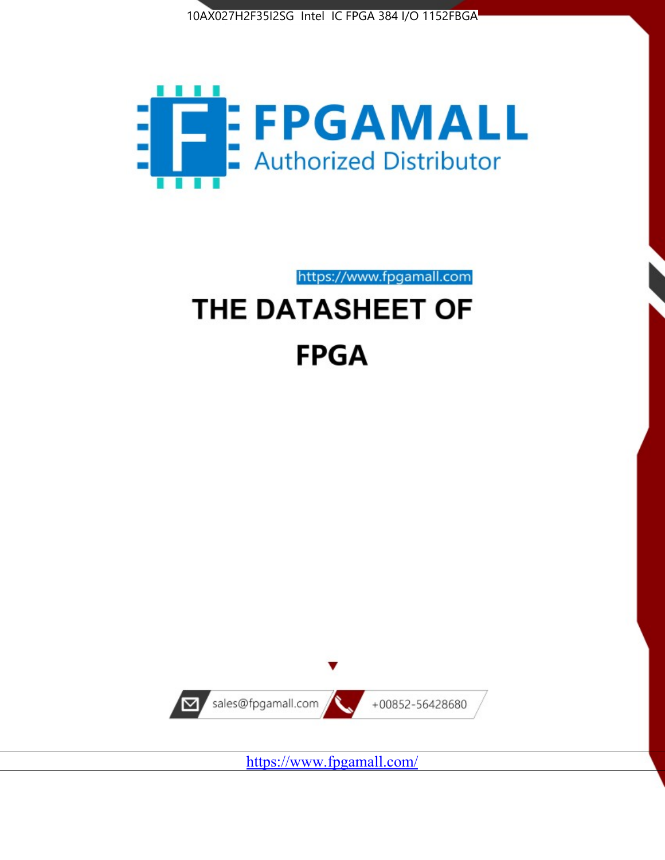



https://www.fpgamall.com THE DATASHEET OF

# **FPGA**



<https://www.fpgamall.com/>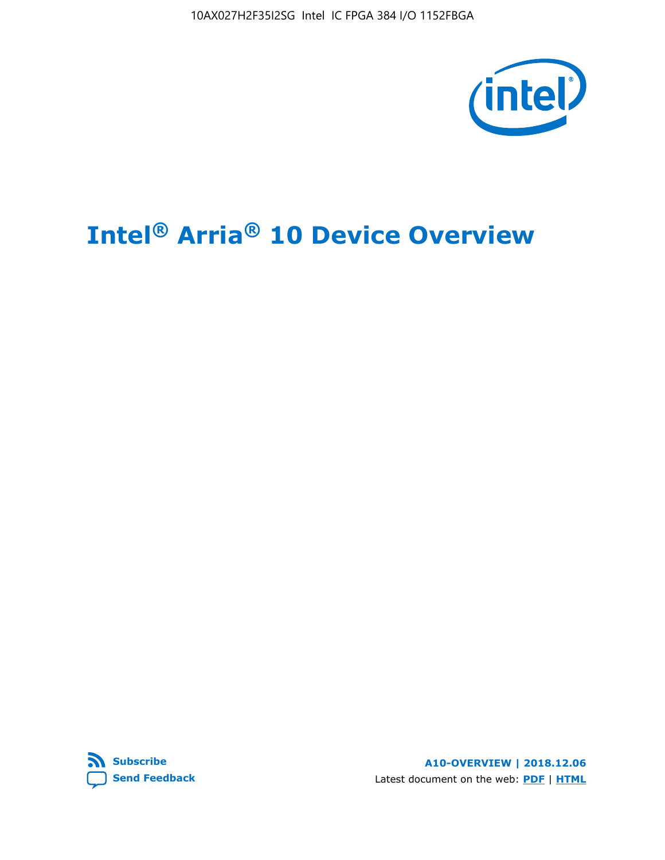

# **Intel® Arria® 10 Device Overview**



**A10-OVERVIEW | 2018.12.06** Latest document on the web: **[PDF](https://www.intel.com/content/dam/www/programmable/us/en/pdfs/literature/hb/arria-10/a10_overview.pdf)** | **[HTML](https://www.intel.com/content/www/us/en/programmable/documentation/sam1403480274650.html)**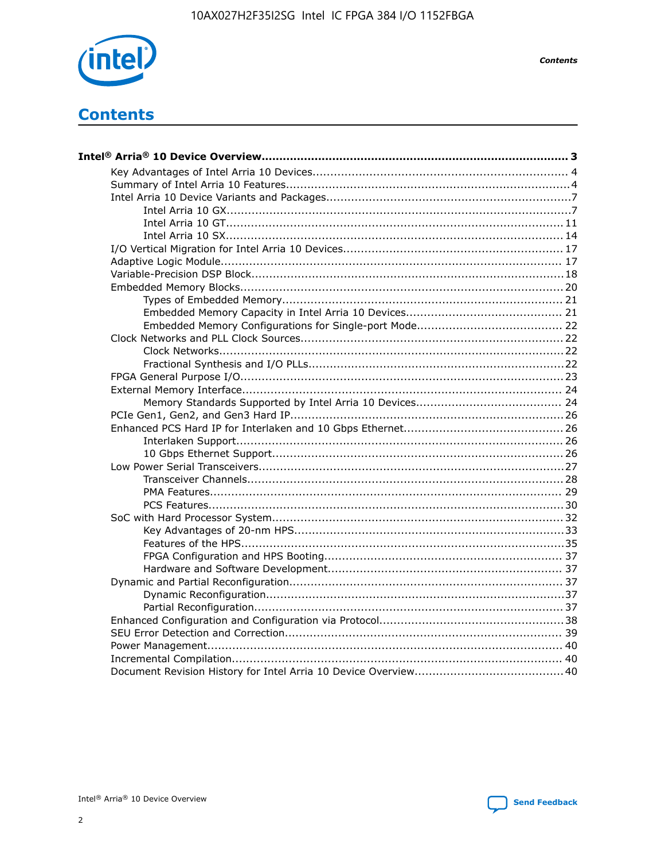

**Contents** 

# **Contents**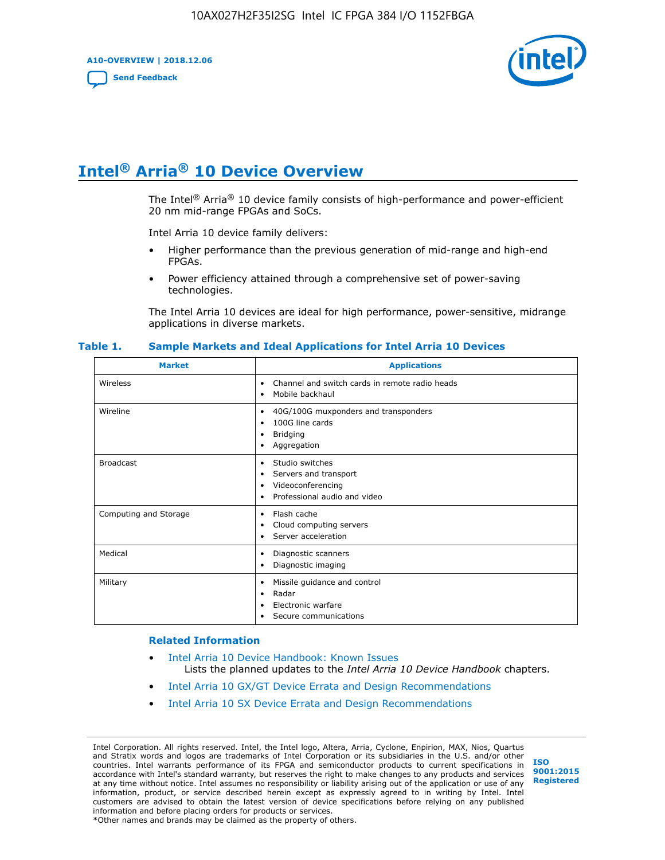**A10-OVERVIEW | 2018.12.06**

**[Send Feedback](mailto:FPGAtechdocfeedback@intel.com?subject=Feedback%20on%20Intel%20Arria%2010%20Device%20Overview%20(A10-OVERVIEW%202018.12.06)&body=We%20appreciate%20your%20feedback.%20In%20your%20comments,%20also%20specify%20the%20page%20number%20or%20paragraph.%20Thank%20you.)**



# **Intel® Arria® 10 Device Overview**

The Intel<sup>®</sup> Arria<sup>®</sup> 10 device family consists of high-performance and power-efficient 20 nm mid-range FPGAs and SoCs.

Intel Arria 10 device family delivers:

- Higher performance than the previous generation of mid-range and high-end FPGAs.
- Power efficiency attained through a comprehensive set of power-saving technologies.

The Intel Arria 10 devices are ideal for high performance, power-sensitive, midrange applications in diverse markets.

| <b>Market</b>         | <b>Applications</b>                                                                                               |
|-----------------------|-------------------------------------------------------------------------------------------------------------------|
| Wireless              | Channel and switch cards in remote radio heads<br>٠<br>Mobile backhaul<br>٠                                       |
| Wireline              | 40G/100G muxponders and transponders<br>٠<br>100G line cards<br>٠<br><b>Bridging</b><br>٠<br>Aggregation<br>٠     |
| <b>Broadcast</b>      | Studio switches<br>٠<br>Servers and transport<br>٠<br>Videoconferencing<br>٠<br>Professional audio and video<br>٠ |
| Computing and Storage | Flash cache<br>٠<br>Cloud computing servers<br>٠<br>Server acceleration<br>٠                                      |
| Medical               | Diagnostic scanners<br>٠<br>Diagnostic imaging<br>٠                                                               |
| Military              | Missile guidance and control<br>٠<br>Radar<br>٠<br>Electronic warfare<br>٠<br>Secure communications<br>٠          |

#### **Table 1. Sample Markets and Ideal Applications for Intel Arria 10 Devices**

#### **Related Information**

- [Intel Arria 10 Device Handbook: Known Issues](http://www.altera.com/support/kdb/solutions/rd07302013_646.html) Lists the planned updates to the *Intel Arria 10 Device Handbook* chapters.
- [Intel Arria 10 GX/GT Device Errata and Design Recommendations](https://www.intel.com/content/www/us/en/programmable/documentation/agz1493851706374.html#yqz1494433888646)
- [Intel Arria 10 SX Device Errata and Design Recommendations](https://www.intel.com/content/www/us/en/programmable/documentation/cru1462832385668.html#cru1462832558642)

Intel Corporation. All rights reserved. Intel, the Intel logo, Altera, Arria, Cyclone, Enpirion, MAX, Nios, Quartus and Stratix words and logos are trademarks of Intel Corporation or its subsidiaries in the U.S. and/or other countries. Intel warrants performance of its FPGA and semiconductor products to current specifications in accordance with Intel's standard warranty, but reserves the right to make changes to any products and services at any time without notice. Intel assumes no responsibility or liability arising out of the application or use of any information, product, or service described herein except as expressly agreed to in writing by Intel. Intel customers are advised to obtain the latest version of device specifications before relying on any published information and before placing orders for products or services. \*Other names and brands may be claimed as the property of others.

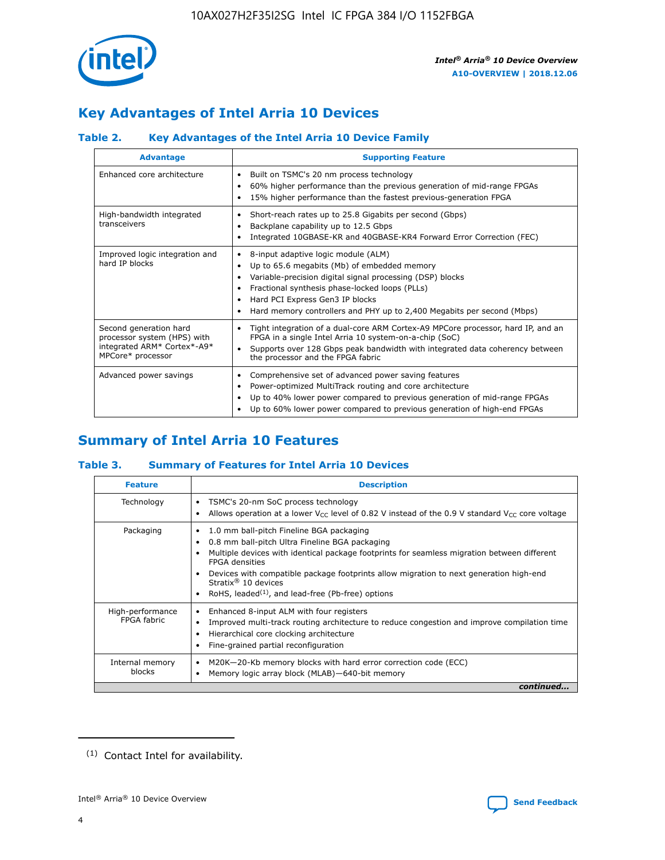

# **Key Advantages of Intel Arria 10 Devices**

#### **Table 2. Key Advantages of the Intel Arria 10 Device Family**

| <b>Advantage</b>                                                                                          | <b>Supporting Feature</b>                                                                                                                                                                                                                                                                                                |  |  |  |  |  |
|-----------------------------------------------------------------------------------------------------------|--------------------------------------------------------------------------------------------------------------------------------------------------------------------------------------------------------------------------------------------------------------------------------------------------------------------------|--|--|--|--|--|
| Enhanced core architecture                                                                                | Built on TSMC's 20 nm process technology<br>٠<br>60% higher performance than the previous generation of mid-range FPGAs<br>٠<br>15% higher performance than the fastest previous-generation FPGA<br>٠                                                                                                                    |  |  |  |  |  |
| High-bandwidth integrated<br>transceivers                                                                 | Short-reach rates up to 25.8 Gigabits per second (Gbps)<br>٠<br>Backplane capability up to 12.5 Gbps<br>٠<br>Integrated 10GBASE-KR and 40GBASE-KR4 Forward Error Correction (FEC)<br>٠                                                                                                                                   |  |  |  |  |  |
| Improved logic integration and<br>hard IP blocks                                                          | 8-input adaptive logic module (ALM)<br>٠<br>Up to 65.6 megabits (Mb) of embedded memory<br>٠<br>Variable-precision digital signal processing (DSP) blocks<br>Fractional synthesis phase-locked loops (PLLs)<br>Hard PCI Express Gen3 IP blocks<br>Hard memory controllers and PHY up to 2,400 Megabits per second (Mbps) |  |  |  |  |  |
| Second generation hard<br>processor system (HPS) with<br>integrated ARM* Cortex*-A9*<br>MPCore* processor | Tight integration of a dual-core ARM Cortex-A9 MPCore processor, hard IP, and an<br>٠<br>FPGA in a single Intel Arria 10 system-on-a-chip (SoC)<br>Supports over 128 Gbps peak bandwidth with integrated data coherency between<br>$\bullet$<br>the processor and the FPGA fabric                                        |  |  |  |  |  |
| Advanced power savings                                                                                    | Comprehensive set of advanced power saving features<br>٠<br>Power-optimized MultiTrack routing and core architecture<br>٠<br>Up to 40% lower power compared to previous generation of mid-range FPGAs<br>Up to 60% lower power compared to previous generation of high-end FPGAs                                         |  |  |  |  |  |

# **Summary of Intel Arria 10 Features**

#### **Table 3. Summary of Features for Intel Arria 10 Devices**

| <b>Feature</b>                  | <b>Description</b>                                                                                                                                                                                                                                                                                                                                                                                 |
|---------------------------------|----------------------------------------------------------------------------------------------------------------------------------------------------------------------------------------------------------------------------------------------------------------------------------------------------------------------------------------------------------------------------------------------------|
| Technology                      | TSMC's 20-nm SoC process technology<br>Allows operation at a lower $V_{\text{CC}}$ level of 0.82 V instead of the 0.9 V standard $V_{\text{CC}}$ core voltage                                                                                                                                                                                                                                      |
| Packaging                       | 1.0 mm ball-pitch Fineline BGA packaging<br>٠<br>0.8 mm ball-pitch Ultra Fineline BGA packaging<br>Multiple devices with identical package footprints for seamless migration between different<br><b>FPGA</b> densities<br>Devices with compatible package footprints allow migration to next generation high-end<br>Stratix $@10$ devices<br>RoHS, leaded $(1)$ , and lead-free (Pb-free) options |
| High-performance<br>FPGA fabric | Enhanced 8-input ALM with four registers<br>Improved multi-track routing architecture to reduce congestion and improve compilation time<br>Hierarchical core clocking architecture<br>Fine-grained partial reconfiguration                                                                                                                                                                         |
| Internal memory<br>blocks       | M20K-20-Kb memory blocks with hard error correction code (ECC)<br>Memory logic array block (MLAB)-640-bit memory                                                                                                                                                                                                                                                                                   |
|                                 | continued                                                                                                                                                                                                                                                                                                                                                                                          |



<sup>(1)</sup> Contact Intel for availability.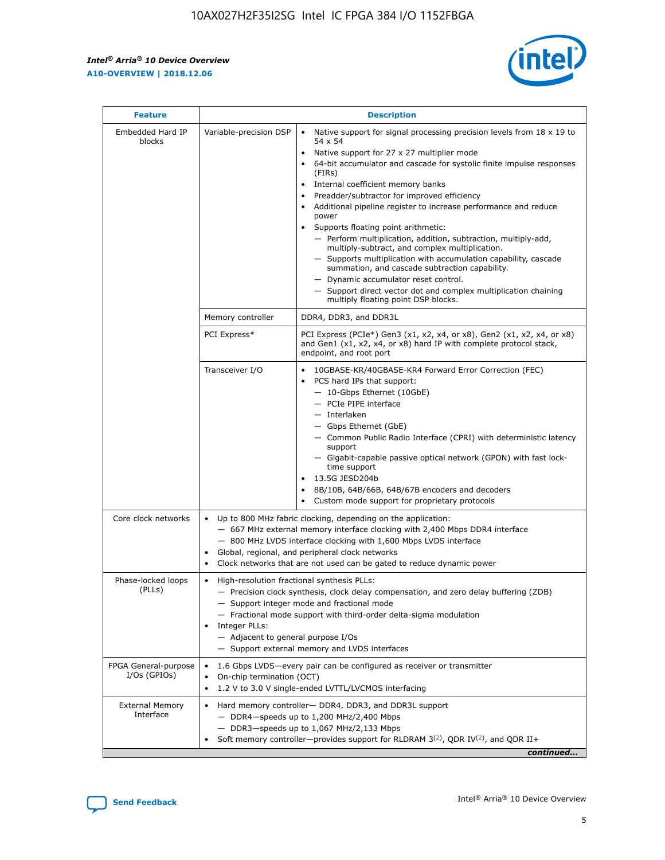$\mathsf{r}$ 



| <b>Feature</b>                         |                                                                                                                | <b>Description</b>                                                                                                                                                                                                                                                                                                                                                                                                                                                                                                                                                                                                                                                                                                                                                                                                                          |
|----------------------------------------|----------------------------------------------------------------------------------------------------------------|---------------------------------------------------------------------------------------------------------------------------------------------------------------------------------------------------------------------------------------------------------------------------------------------------------------------------------------------------------------------------------------------------------------------------------------------------------------------------------------------------------------------------------------------------------------------------------------------------------------------------------------------------------------------------------------------------------------------------------------------------------------------------------------------------------------------------------------------|
| Embedded Hard IP<br>blocks             | Variable-precision DSP                                                                                         | Native support for signal processing precision levels from $18 \times 19$ to<br>$\bullet$<br>54 x 54<br>Native support for 27 x 27 multiplier mode<br>64-bit accumulator and cascade for systolic finite impulse responses<br>(FIRs)<br>Internal coefficient memory banks<br>٠<br>Preadder/subtractor for improved efficiency<br>Additional pipeline register to increase performance and reduce<br>power<br>Supports floating point arithmetic:<br>- Perform multiplication, addition, subtraction, multiply-add,<br>multiply-subtract, and complex multiplication.<br>- Supports multiplication with accumulation capability, cascade<br>summation, and cascade subtraction capability.<br>- Dynamic accumulator reset control.<br>- Support direct vector dot and complex multiplication chaining<br>multiply floating point DSP blocks. |
|                                        | Memory controller                                                                                              | DDR4, DDR3, and DDR3L                                                                                                                                                                                                                                                                                                                                                                                                                                                                                                                                                                                                                                                                                                                                                                                                                       |
|                                        | PCI Express*                                                                                                   | PCI Express (PCIe*) Gen3 (x1, x2, x4, or x8), Gen2 (x1, x2, x4, or x8)<br>and Gen1 (x1, x2, x4, or x8) hard IP with complete protocol stack,<br>endpoint, and root port                                                                                                                                                                                                                                                                                                                                                                                                                                                                                                                                                                                                                                                                     |
|                                        | Transceiver I/O                                                                                                | 10GBASE-KR/40GBASE-KR4 Forward Error Correction (FEC)<br>PCS hard IPs that support:<br>- 10-Gbps Ethernet (10GbE)<br>- PCIe PIPE interface<br>- Interlaken<br>- Gbps Ethernet (GbE)<br>- Common Public Radio Interface (CPRI) with deterministic latency<br>support<br>- Gigabit-capable passive optical network (GPON) with fast lock-<br>time support<br>13.5G JESD204b<br>$\bullet$<br>8B/10B, 64B/66B, 64B/67B encoders and decoders<br>Custom mode support for proprietary protocols                                                                                                                                                                                                                                                                                                                                                   |
| Core clock networks                    | $\bullet$<br>$\bullet$                                                                                         | Up to 800 MHz fabric clocking, depending on the application:<br>- 667 MHz external memory interface clocking with 2,400 Mbps DDR4 interface<br>- 800 MHz LVDS interface clocking with 1,600 Mbps LVDS interface<br>Global, regional, and peripheral clock networks<br>Clock networks that are not used can be gated to reduce dynamic power                                                                                                                                                                                                                                                                                                                                                                                                                                                                                                 |
| Phase-locked loops<br>(PLLs)           | High-resolution fractional synthesis PLLs:<br>$\bullet$<br>Integer PLLs:<br>- Adjacent to general purpose I/Os | - Precision clock synthesis, clock delay compensation, and zero delay buffering (ZDB)<br>- Support integer mode and fractional mode<br>- Fractional mode support with third-order delta-sigma modulation<br>- Support external memory and LVDS interfaces                                                                                                                                                                                                                                                                                                                                                                                                                                                                                                                                                                                   |
| FPGA General-purpose<br>$I/Os$ (GPIOs) | On-chip termination (OCT)<br>$\bullet$                                                                         | 1.6 Gbps LVDS-every pair can be configured as receiver or transmitter<br>1.2 V to 3.0 V single-ended LVTTL/LVCMOS interfacing                                                                                                                                                                                                                                                                                                                                                                                                                                                                                                                                                                                                                                                                                                               |
| <b>External Memory</b><br>Interface    |                                                                                                                | Hard memory controller- DDR4, DDR3, and DDR3L support<br>$-$ DDR4 $-$ speeds up to 1,200 MHz/2,400 Mbps<br>- DDR3-speeds up to 1,067 MHz/2,133 Mbps<br>Soft memory controller—provides support for RLDRAM $3^{(2)}$ , QDR IV $(2^2)$ , and QDR II+<br>continued                                                                                                                                                                                                                                                                                                                                                                                                                                                                                                                                                                             |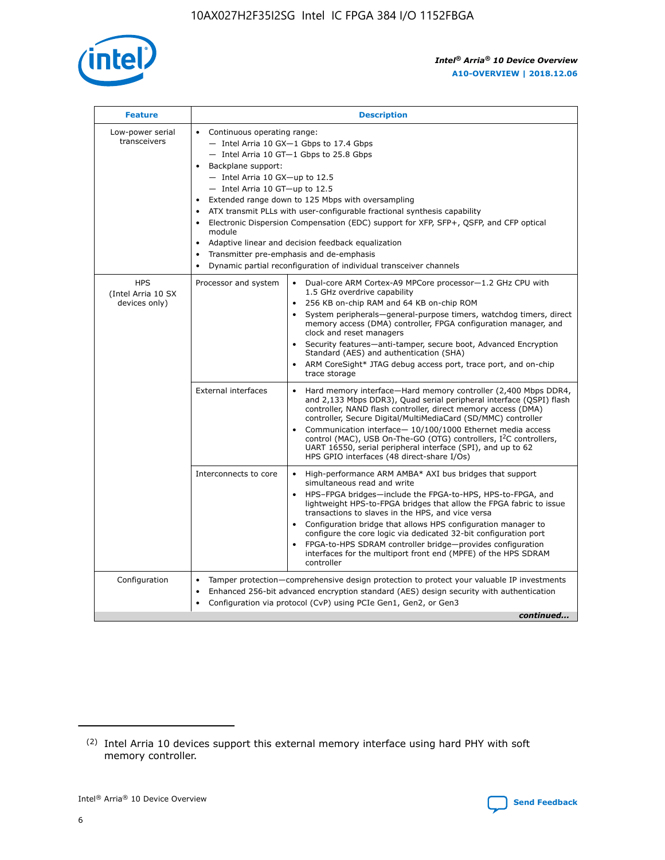

| <b>Feature</b>                                    | <b>Description</b>                                                                                                                                                                                                                                                                                                                                                                                                                                                                                                                                                                                                                                  |
|---------------------------------------------------|-----------------------------------------------------------------------------------------------------------------------------------------------------------------------------------------------------------------------------------------------------------------------------------------------------------------------------------------------------------------------------------------------------------------------------------------------------------------------------------------------------------------------------------------------------------------------------------------------------------------------------------------------------|
| Low-power serial<br>transceivers                  | • Continuous operating range:<br>- Intel Arria 10 GX-1 Gbps to 17.4 Gbps<br>- Intel Arria 10 GT-1 Gbps to 25.8 Gbps<br>Backplane support:<br>- Intel Arria 10 GX-up to 12.5<br>- Intel Arria 10 GT-up to 12.5<br>Extended range down to 125 Mbps with oversampling<br>ATX transmit PLLs with user-configurable fractional synthesis capability<br>Electronic Dispersion Compensation (EDC) support for XFP, SFP+, QSFP, and CFP optical<br>module<br>Adaptive linear and decision feedback equalization<br>$\bullet$<br>Transmitter pre-emphasis and de-emphasis<br>$\bullet$<br>Dynamic partial reconfiguration of individual transceiver channels |
| <b>HPS</b><br>(Intel Arria 10 SX<br>devices only) | Dual-core ARM Cortex-A9 MPCore processor-1.2 GHz CPU with<br>Processor and system<br>$\bullet$<br>1.5 GHz overdrive capability<br>256 KB on-chip RAM and 64 KB on-chip ROM<br>System peripherals—general-purpose timers, watchdog timers, direct<br>memory access (DMA) controller, FPGA configuration manager, and<br>clock and reset managers<br>Security features-anti-tamper, secure boot, Advanced Encryption<br>Standard (AES) and authentication (SHA)<br>ARM CoreSight* JTAG debug access port, trace port, and on-chip<br>trace storage                                                                                                    |
|                                                   | <b>External interfaces</b><br>Hard memory interface-Hard memory controller (2,400 Mbps DDR4,<br>$\bullet$<br>and 2,133 Mbps DDR3), Quad serial peripheral interface (QSPI) flash<br>controller, NAND flash controller, direct memory access (DMA)<br>controller, Secure Digital/MultiMediaCard (SD/MMC) controller<br>Communication interface-10/100/1000 Ethernet media access<br>control (MAC), USB On-The-GO (OTG) controllers, I <sup>2</sup> C controllers,<br>UART 16550, serial peripheral interface (SPI), and up to 62<br>HPS GPIO interfaces (48 direct-share I/Os)                                                                       |
|                                                   | High-performance ARM AMBA* AXI bus bridges that support<br>Interconnects to core<br>$\bullet$<br>simultaneous read and write<br>HPS-FPGA bridges-include the FPGA-to-HPS, HPS-to-FPGA, and<br>$\bullet$<br>lightweight HPS-to-FPGA bridges that allow the FPGA fabric to issue<br>transactions to slaves in the HPS, and vice versa<br>Configuration bridge that allows HPS configuration manager to<br>configure the core logic via dedicated 32-bit configuration port<br>FPGA-to-HPS SDRAM controller bridge-provides configuration<br>interfaces for the multiport front end (MPFE) of the HPS SDRAM<br>controller                              |
| Configuration                                     | Tamper protection—comprehensive design protection to protect your valuable IP investments<br>Enhanced 256-bit advanced encryption standard (AES) design security with authentication<br>٠<br>Configuration via protocol (CvP) using PCIe Gen1, Gen2, or Gen3<br>continued                                                                                                                                                                                                                                                                                                                                                                           |

<sup>(2)</sup> Intel Arria 10 devices support this external memory interface using hard PHY with soft memory controller.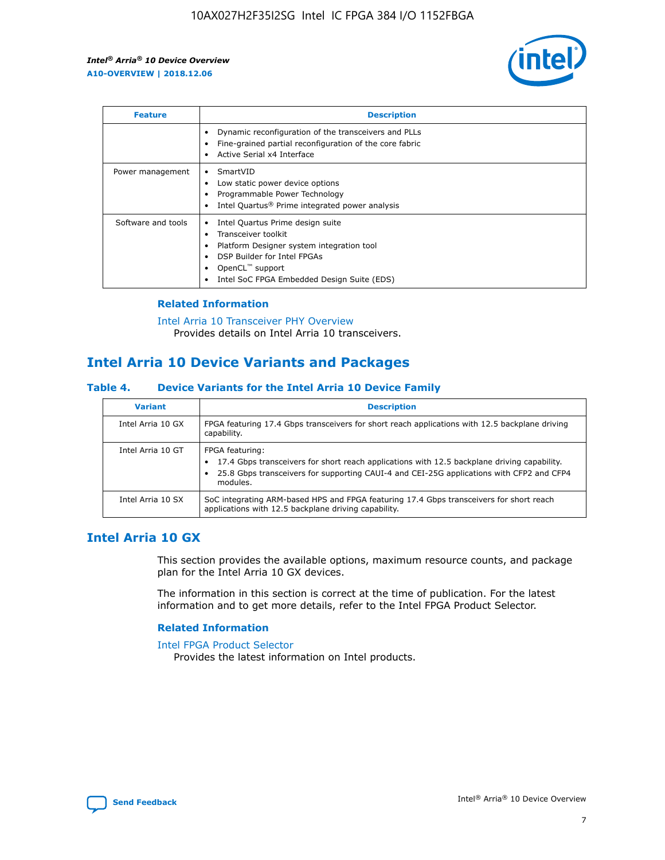

| <b>Feature</b>     | <b>Description</b>                                                                                                                                                                                               |
|--------------------|------------------------------------------------------------------------------------------------------------------------------------------------------------------------------------------------------------------|
|                    | Dynamic reconfiguration of the transceivers and PLLs<br>Fine-grained partial reconfiguration of the core fabric<br>Active Serial x4 Interface<br>$\bullet$                                                       |
| Power management   | SmartVID<br>Low static power device options<br>Programmable Power Technology<br>Intel Quartus <sup>®</sup> Prime integrated power analysis                                                                       |
| Software and tools | Intel Quartus Prime design suite<br>Transceiver toolkit<br>Platform Designer system integration tool<br>DSP Builder for Intel FPGAs<br>OpenCL <sup>™</sup> support<br>Intel SoC FPGA Embedded Design Suite (EDS) |

#### **Related Information**

[Intel Arria 10 Transceiver PHY Overview](https://www.intel.com/content/www/us/en/programmable/documentation/nik1398707230472.html#nik1398706768037) Provides details on Intel Arria 10 transceivers.

# **Intel Arria 10 Device Variants and Packages**

#### **Table 4. Device Variants for the Intel Arria 10 Device Family**

| <b>Variant</b>    | <b>Description</b>                                                                                                                                                                                                     |
|-------------------|------------------------------------------------------------------------------------------------------------------------------------------------------------------------------------------------------------------------|
| Intel Arria 10 GX | FPGA featuring 17.4 Gbps transceivers for short reach applications with 12.5 backplane driving<br>capability.                                                                                                          |
| Intel Arria 10 GT | FPGA featuring:<br>17.4 Gbps transceivers for short reach applications with 12.5 backplane driving capability.<br>25.8 Gbps transceivers for supporting CAUI-4 and CEI-25G applications with CFP2 and CFP4<br>modules. |
| Intel Arria 10 SX | SoC integrating ARM-based HPS and FPGA featuring 17.4 Gbps transceivers for short reach<br>applications with 12.5 backplane driving capability.                                                                        |

## **Intel Arria 10 GX**

This section provides the available options, maximum resource counts, and package plan for the Intel Arria 10 GX devices.

The information in this section is correct at the time of publication. For the latest information and to get more details, refer to the Intel FPGA Product Selector.

#### **Related Information**

#### [Intel FPGA Product Selector](http://www.altera.com/products/selector/psg-selector.html) Provides the latest information on Intel products.

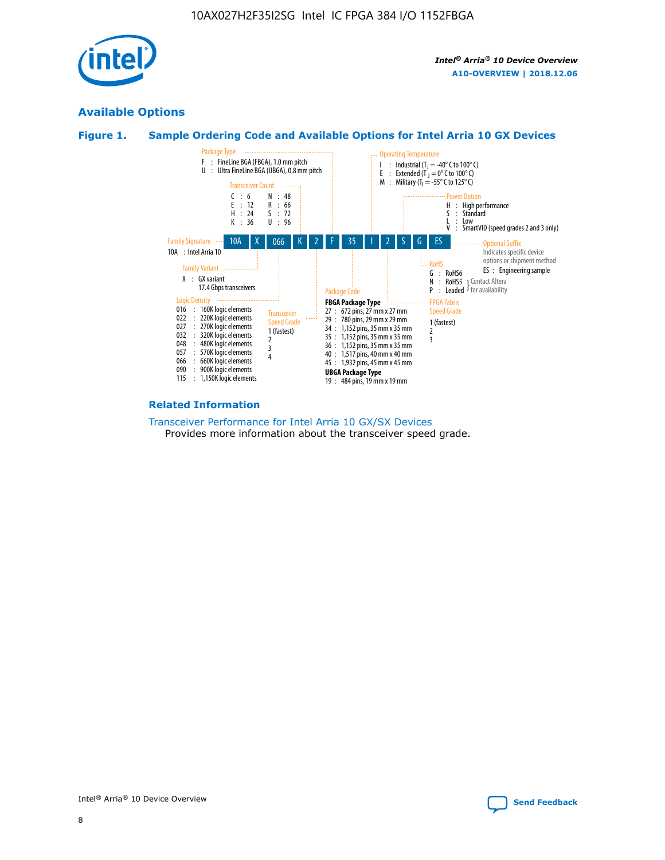

## **Available Options**





#### **Related Information**

[Transceiver Performance for Intel Arria 10 GX/SX Devices](https://www.intel.com/content/www/us/en/programmable/documentation/mcn1413182292568.html#mcn1413213965502) Provides more information about the transceiver speed grade.

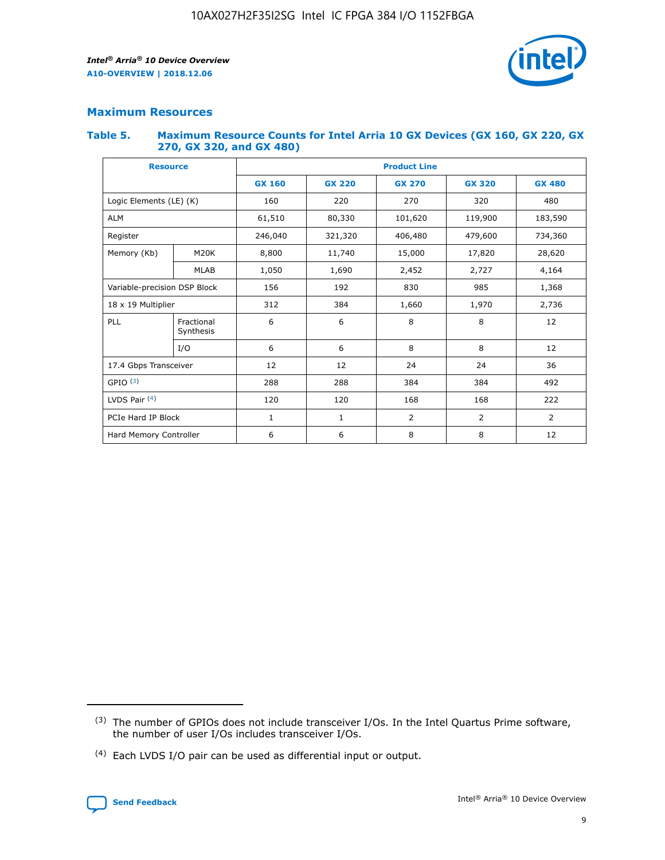

#### **Maximum Resources**

#### **Table 5. Maximum Resource Counts for Intel Arria 10 GX Devices (GX 160, GX 220, GX 270, GX 320, and GX 480)**

| <b>Resource</b>              |                         | <b>Product Line</b> |                                                 |                    |                |                |  |  |  |
|------------------------------|-------------------------|---------------------|-------------------------------------------------|--------------------|----------------|----------------|--|--|--|
|                              |                         | <b>GX 160</b>       | <b>GX 220</b><br><b>GX 270</b><br><b>GX 320</b> |                    |                | <b>GX 480</b>  |  |  |  |
| Logic Elements (LE) (K)      |                         | 160                 | 220                                             | 270                | 320            | 480            |  |  |  |
| <b>ALM</b>                   |                         | 61,510              | 80,330                                          | 101,620            | 119,900        | 183,590        |  |  |  |
| Register                     |                         | 246,040             | 321,320                                         | 406,480<br>479,600 |                | 734,360        |  |  |  |
| Memory (Kb)                  | M <sub>20</sub> K       | 8,800               | 11,740                                          | 15,000             | 17,820         | 28,620         |  |  |  |
|                              | <b>MLAB</b>             | 1,050               | 1,690                                           | 2,452              | 2,727          | 4,164          |  |  |  |
| Variable-precision DSP Block |                         | 156                 | 192<br>830                                      |                    | 985            | 1,368          |  |  |  |
| 18 x 19 Multiplier           |                         | 312                 | 384                                             | 1,970<br>1,660     |                | 2,736          |  |  |  |
| PLL                          | Fractional<br>Synthesis | 6                   | 6                                               | 8                  | 8              | 12             |  |  |  |
|                              | I/O                     | 6                   | 6                                               | 8                  | 8              | 12             |  |  |  |
| 17.4 Gbps Transceiver        |                         | 12                  | 12                                              | 24                 | 24             | 36             |  |  |  |
| GPIO <sup>(3)</sup>          |                         | 288                 | 288                                             | 384                | 384            | 492            |  |  |  |
| LVDS Pair $(4)$              |                         | 120                 | 120                                             | 168                | 168            | 222            |  |  |  |
| PCIe Hard IP Block           |                         | 1                   | 1                                               | 2                  | $\overline{2}$ | $\overline{2}$ |  |  |  |
| Hard Memory Controller       |                         | 6                   | 6                                               | 8                  | 8              | 12             |  |  |  |

<sup>(4)</sup> Each LVDS I/O pair can be used as differential input or output.



<sup>(3)</sup> The number of GPIOs does not include transceiver I/Os. In the Intel Quartus Prime software, the number of user I/Os includes transceiver I/Os.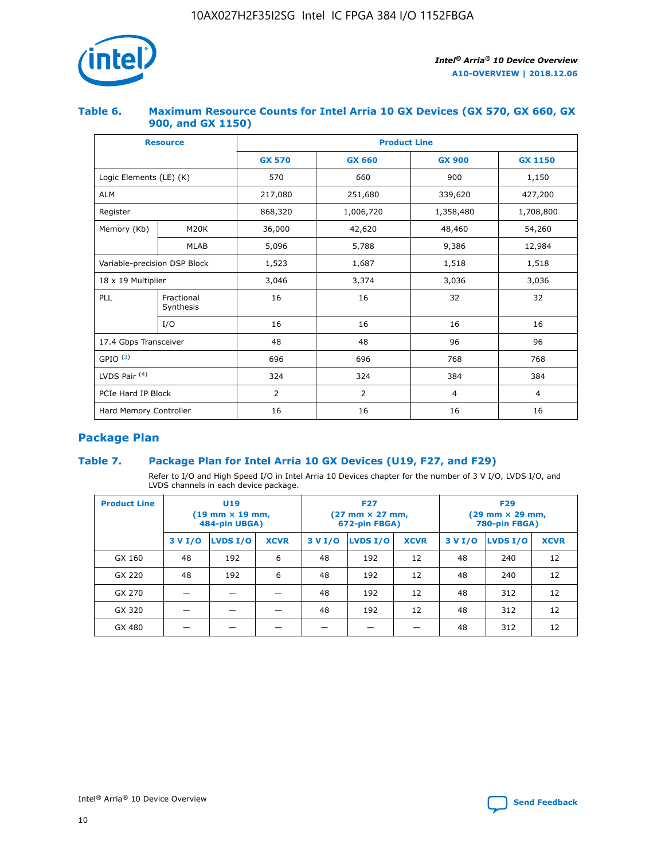

#### **Table 6. Maximum Resource Counts for Intel Arria 10 GX Devices (GX 570, GX 660, GX 900, and GX 1150)**

|                              | <b>Resource</b>         | <b>Product Line</b> |                |                |                |  |  |  |
|------------------------------|-------------------------|---------------------|----------------|----------------|----------------|--|--|--|
|                              |                         | <b>GX 570</b>       | <b>GX 660</b>  | <b>GX 900</b>  | <b>GX 1150</b> |  |  |  |
| Logic Elements (LE) (K)      |                         | 570                 | 660            | 900            | 1,150          |  |  |  |
| <b>ALM</b>                   |                         | 217,080             | 251,680        | 339,620        | 427,200        |  |  |  |
| Register                     |                         | 868,320             | 1,006,720      | 1,358,480      | 1,708,800      |  |  |  |
| Memory (Kb)                  | <b>M20K</b>             | 36,000              | 42,620         | 48,460         | 54,260         |  |  |  |
|                              | <b>MLAB</b>             | 5,096               | 5,788          | 9,386          | 12,984         |  |  |  |
| Variable-precision DSP Block |                         | 1,523               | 1,687          | 1,518          | 1,518          |  |  |  |
|                              | 18 x 19 Multiplier      |                     | 3,374          | 3,036          | 3,036          |  |  |  |
| PLL                          | Fractional<br>Synthesis | 16                  | 16             | 32             | 32             |  |  |  |
|                              | I/O                     | 16                  | 16             | 16             | 16             |  |  |  |
| 17.4 Gbps Transceiver        |                         | 48                  | 48             | 96             | 96             |  |  |  |
| GPIO <sup>(3)</sup>          |                         | 696                 | 696            | 768            | 768            |  |  |  |
| LVDS Pair $(4)$              |                         | 324                 | 324            | 384            | 384            |  |  |  |
| PCIe Hard IP Block           |                         | 2                   | $\overline{2}$ | $\overline{4}$ | $\overline{4}$ |  |  |  |
| Hard Memory Controller       |                         | 16                  | 16             | 16             | 16             |  |  |  |

# **Package Plan**

#### **Table 7. Package Plan for Intel Arria 10 GX Devices (U19, F27, and F29)**

Refer to I/O and High Speed I/O in Intel Arria 10 Devices chapter for the number of 3 V I/O, LVDS I/O, and LVDS channels in each device package.

| <b>Product Line</b> | U <sub>19</sub><br>$(19 \text{ mm} \times 19 \text{ mm})$<br>484-pin UBGA) |          |             |         | <b>F27</b><br>(27 mm × 27 mm,<br>672-pin FBGA) |             | <b>F29</b><br>(29 mm × 29 mm,<br>780-pin FBGA) |          |             |  |
|---------------------|----------------------------------------------------------------------------|----------|-------------|---------|------------------------------------------------|-------------|------------------------------------------------|----------|-------------|--|
|                     | 3 V I/O                                                                    | LVDS I/O | <b>XCVR</b> | 3 V I/O | <b>LVDS I/O</b>                                | <b>XCVR</b> | 3 V I/O                                        | LVDS I/O | <b>XCVR</b> |  |
| GX 160              | 48                                                                         | 192      | 6           | 48      | 192                                            | 12          | 48                                             | 240      | 12          |  |
| GX 220              | 48                                                                         | 192      | 6           | 48      | 192                                            | 12          | 48                                             | 240      | 12          |  |
| GX 270              |                                                                            |          |             | 48      | 192                                            | 12          | 48                                             | 312      | 12          |  |
| GX 320              |                                                                            |          |             | 48      | 192                                            | 12          | 48                                             | 312      | 12          |  |
| GX 480              |                                                                            |          |             |         |                                                |             | 48                                             | 312      | 12          |  |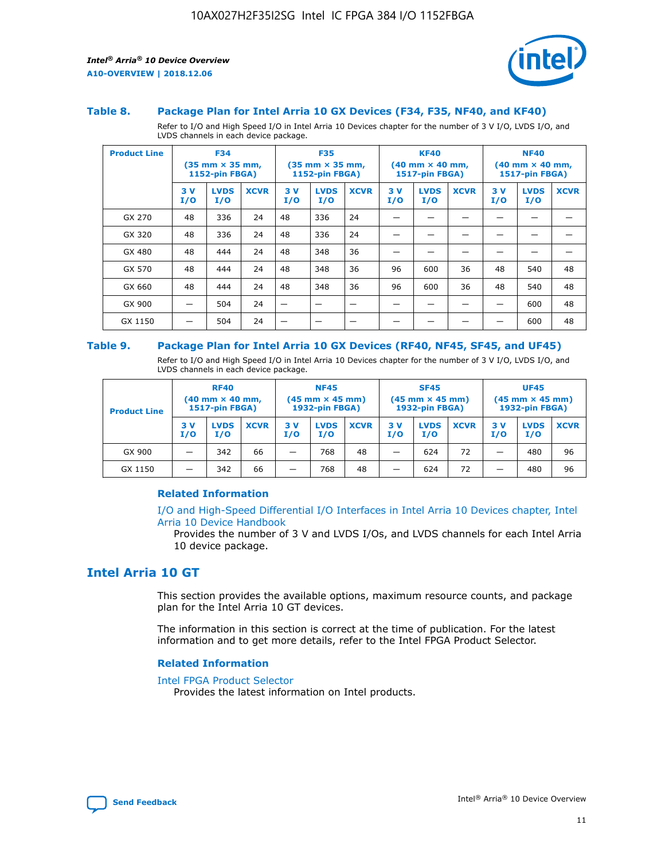

#### **Table 8. Package Plan for Intel Arria 10 GX Devices (F34, F35, NF40, and KF40)**

Refer to I/O and High Speed I/O in Intel Arria 10 Devices chapter for the number of 3 V I/O, LVDS I/O, and LVDS channels in each device package.

| <b>Product Line</b> |           | <b>F34</b><br>$(35 \text{ mm} \times 35 \text{ mm})$<br>1152-pin FBGA) |             | <b>F35</b><br>$(35$ mm $\times$ 35 mm,<br><b>1152-pin FBGA)</b> |                    | <b>KF40</b><br>$(40 \text{ mm} \times 40 \text{ mm})$<br>1517-pin FBGA) |           |                    | <b>NF40</b><br>$(40 \text{ mm} \times 40 \text{ mm})$<br><b>1517-pin FBGA)</b> |            |                    |             |
|---------------------|-----------|------------------------------------------------------------------------|-------------|-----------------------------------------------------------------|--------------------|-------------------------------------------------------------------------|-----------|--------------------|--------------------------------------------------------------------------------|------------|--------------------|-------------|
|                     | 3V<br>I/O | <b>LVDS</b><br>I/O                                                     | <b>XCVR</b> | 3V<br>I/O                                                       | <b>LVDS</b><br>I/O | <b>XCVR</b>                                                             | 3V<br>I/O | <b>LVDS</b><br>I/O | <b>XCVR</b>                                                                    | 3 V<br>I/O | <b>LVDS</b><br>I/O | <b>XCVR</b> |
| GX 270              | 48        | 336                                                                    | 24          | 48                                                              | 336                | 24                                                                      |           |                    |                                                                                |            |                    |             |
| GX 320              | 48        | 336                                                                    | 24          | 48                                                              | 336                | 24                                                                      |           |                    |                                                                                |            |                    |             |
| GX 480              | 48        | 444                                                                    | 24          | 48                                                              | 348                | 36                                                                      |           |                    |                                                                                |            |                    |             |
| GX 570              | 48        | 444                                                                    | 24          | 48                                                              | 348                | 36                                                                      | 96        | 600                | 36                                                                             | 48         | 540                | 48          |
| GX 660              | 48        | 444                                                                    | 24          | 48                                                              | 348                | 36                                                                      | 96        | 600                | 36                                                                             | 48         | 540                | 48          |
| GX 900              |           | 504                                                                    | 24          | –                                                               |                    |                                                                         |           |                    |                                                                                |            | 600                | 48          |
| GX 1150             |           | 504                                                                    | 24          |                                                                 |                    |                                                                         |           |                    |                                                                                |            | 600                | 48          |

#### **Table 9. Package Plan for Intel Arria 10 GX Devices (RF40, NF45, SF45, and UF45)**

Refer to I/O and High Speed I/O in Intel Arria 10 Devices chapter for the number of 3 V I/O, LVDS I/O, and LVDS channels in each device package.

| <b>Product Line</b> | <b>RF40</b><br>$(40 \text{ mm} \times 40 \text{ mm})$<br>1517-pin FBGA) |                    | <b>NF45</b><br>$(45 \text{ mm} \times 45 \text{ mm})$<br><b>1932-pin FBGA)</b> |            |                    | <b>SF45</b><br>$(45 \text{ mm} \times 45 \text{ mm})$<br><b>1932-pin FBGA)</b> |            |                    | <b>UF45</b><br>$(45 \text{ mm} \times 45 \text{ mm})$<br>1932-pin FBGA) |           |                    |             |
|---------------------|-------------------------------------------------------------------------|--------------------|--------------------------------------------------------------------------------|------------|--------------------|--------------------------------------------------------------------------------|------------|--------------------|-------------------------------------------------------------------------|-----------|--------------------|-------------|
|                     | 3 V<br>I/O                                                              | <b>LVDS</b><br>I/O | <b>XCVR</b>                                                                    | 3 V<br>I/O | <b>LVDS</b><br>I/O | <b>XCVR</b>                                                                    | 3 V<br>I/O | <b>LVDS</b><br>I/O | <b>XCVR</b>                                                             | 3V<br>I/O | <b>LVDS</b><br>I/O | <b>XCVR</b> |
| GX 900              | _                                                                       | 342                | 66                                                                             | -          | 768                | 48                                                                             | -          | 624                | 72                                                                      | _         | 480                | 96          |
| GX 1150             |                                                                         | 342                | 66                                                                             | -          | 768                | 48                                                                             |            | 624                | 72                                                                      |           | 480                | 96          |

#### **Related Information**

[I/O and High-Speed Differential I/O Interfaces in Intel Arria 10 Devices chapter, Intel](https://www.intel.com/content/www/us/en/programmable/documentation/sam1403482614086.html#sam1403482030321) [Arria 10 Device Handbook](https://www.intel.com/content/www/us/en/programmable/documentation/sam1403482614086.html#sam1403482030321)

Provides the number of 3 V and LVDS I/Os, and LVDS channels for each Intel Arria 10 device package.

## **Intel Arria 10 GT**

This section provides the available options, maximum resource counts, and package plan for the Intel Arria 10 GT devices.

The information in this section is correct at the time of publication. For the latest information and to get more details, refer to the Intel FPGA Product Selector.

#### **Related Information**

#### [Intel FPGA Product Selector](http://www.altera.com/products/selector/psg-selector.html)

Provides the latest information on Intel products.

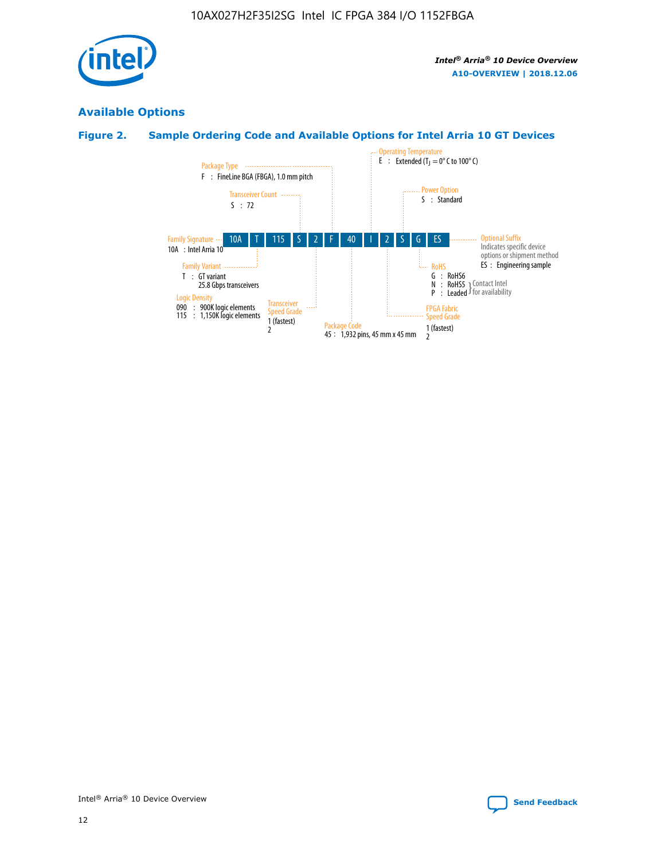

# **Available Options**

## **Figure 2. Sample Ordering Code and Available Options for Intel Arria 10 GT Devices**

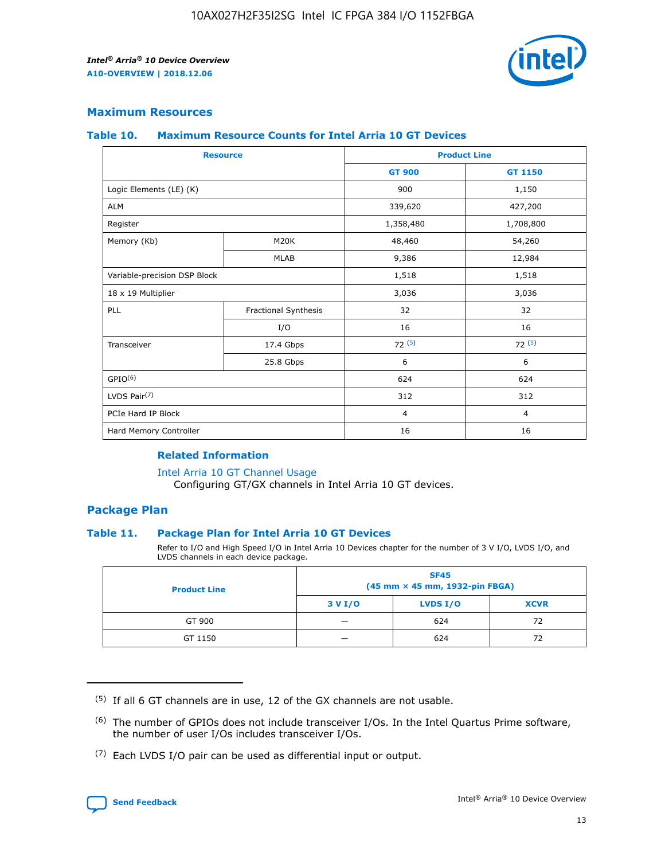

#### **Maximum Resources**

#### **Table 10. Maximum Resource Counts for Intel Arria 10 GT Devices**

| <b>Resource</b>              |                      |                | <b>Product Line</b> |  |
|------------------------------|----------------------|----------------|---------------------|--|
|                              |                      | <b>GT 900</b>  | GT 1150             |  |
| Logic Elements (LE) (K)      |                      | 900            | 1,150               |  |
| <b>ALM</b>                   |                      | 339,620        | 427,200             |  |
| Register                     |                      | 1,358,480      | 1,708,800           |  |
| Memory (Kb)                  | M20K                 | 48,460         | 54,260              |  |
|                              | <b>MLAB</b>          | 9,386          | 12,984              |  |
| Variable-precision DSP Block |                      | 1,518          | 1,518               |  |
| 18 x 19 Multiplier           |                      | 3,036          | 3,036               |  |
| PLL                          | Fractional Synthesis | 32             | 32                  |  |
|                              | I/O                  | 16             | 16                  |  |
| Transceiver                  | 17.4 Gbps            | 72(5)          | 72(5)               |  |
|                              | 25.8 Gbps            | 6              | 6                   |  |
| GPIO <sup>(6)</sup>          |                      | 624            | 624                 |  |
| LVDS Pair $(7)$              |                      | 312            | 312                 |  |
| PCIe Hard IP Block           |                      | $\overline{4}$ | $\overline{4}$      |  |
| Hard Memory Controller       |                      | 16             | 16                  |  |

#### **Related Information**

#### [Intel Arria 10 GT Channel Usage](https://www.intel.com/content/www/us/en/programmable/documentation/nik1398707230472.html#nik1398707008178)

Configuring GT/GX channels in Intel Arria 10 GT devices.

#### **Package Plan**

#### **Table 11. Package Plan for Intel Arria 10 GT Devices**

Refer to I/O and High Speed I/O in Intel Arria 10 Devices chapter for the number of 3 V I/O, LVDS I/O, and LVDS channels in each device package.

| <b>Product Line</b> | <b>SF45</b><br>(45 mm × 45 mm, 1932-pin FBGA) |                 |             |  |  |  |
|---------------------|-----------------------------------------------|-----------------|-------------|--|--|--|
|                     | 3 V I/O                                       | <b>LVDS I/O</b> | <b>XCVR</b> |  |  |  |
| GT 900              |                                               | 624             | 72          |  |  |  |
| GT 1150             |                                               | 624             | 72          |  |  |  |

<sup>(7)</sup> Each LVDS I/O pair can be used as differential input or output.



 $(5)$  If all 6 GT channels are in use, 12 of the GX channels are not usable.

<sup>(6)</sup> The number of GPIOs does not include transceiver I/Os. In the Intel Quartus Prime software, the number of user I/Os includes transceiver I/Os.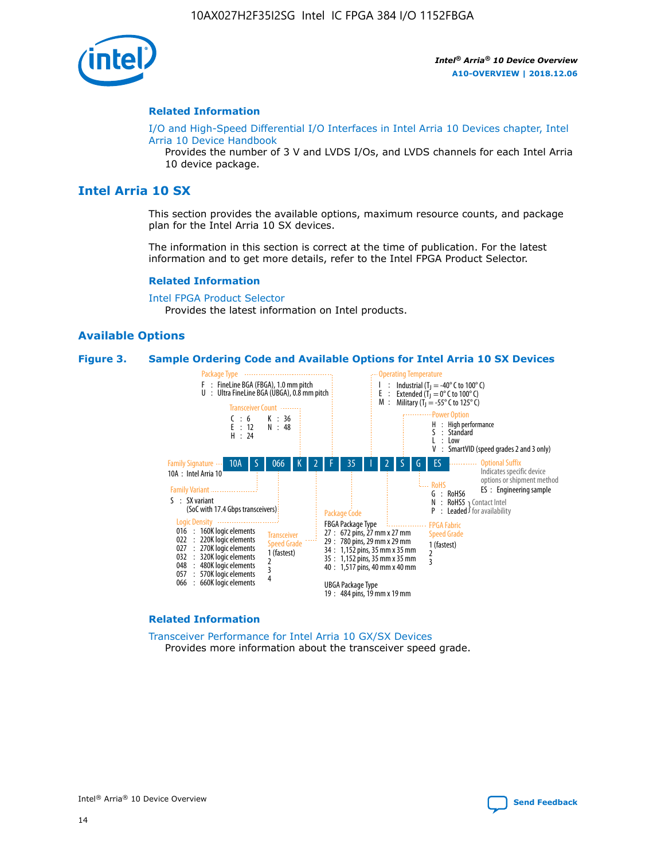

#### **Related Information**

[I/O and High-Speed Differential I/O Interfaces in Intel Arria 10 Devices chapter, Intel](https://www.intel.com/content/www/us/en/programmable/documentation/sam1403482614086.html#sam1403482030321) [Arria 10 Device Handbook](https://www.intel.com/content/www/us/en/programmable/documentation/sam1403482614086.html#sam1403482030321)

Provides the number of 3 V and LVDS I/Os, and LVDS channels for each Intel Arria 10 device package.

#### **Intel Arria 10 SX**

This section provides the available options, maximum resource counts, and package plan for the Intel Arria 10 SX devices.

The information in this section is correct at the time of publication. For the latest information and to get more details, refer to the Intel FPGA Product Selector.

#### **Related Information**

[Intel FPGA Product Selector](http://www.altera.com/products/selector/psg-selector.html) Provides the latest information on Intel products.

#### **Available Options**

#### **Figure 3. Sample Ordering Code and Available Options for Intel Arria 10 SX Devices**



#### **Related Information**

[Transceiver Performance for Intel Arria 10 GX/SX Devices](https://www.intel.com/content/www/us/en/programmable/documentation/mcn1413182292568.html#mcn1413213965502) Provides more information about the transceiver speed grade.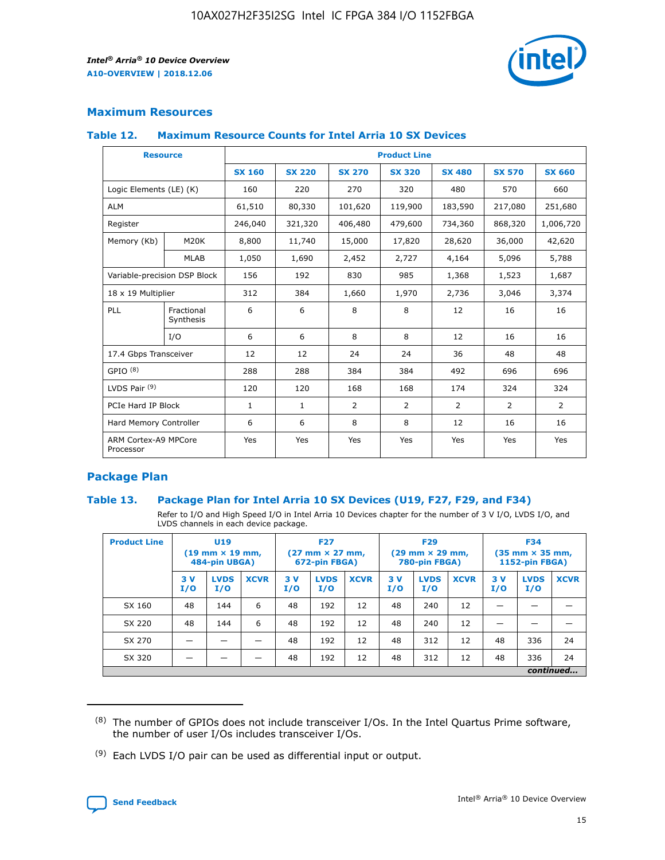

#### **Maximum Resources**

#### **Table 12. Maximum Resource Counts for Intel Arria 10 SX Devices**

| <b>Resource</b>                   |                         | <b>Product Line</b> |               |               |                |               |               |               |  |  |  |
|-----------------------------------|-------------------------|---------------------|---------------|---------------|----------------|---------------|---------------|---------------|--|--|--|
|                                   |                         | <b>SX 160</b>       | <b>SX 220</b> | <b>SX 270</b> | <b>SX 320</b>  | <b>SX 480</b> | <b>SX 570</b> | <b>SX 660</b> |  |  |  |
| Logic Elements (LE) (K)           |                         | 160                 | 220           | 270           | 320            | 480           | 570           | 660           |  |  |  |
| <b>ALM</b>                        |                         | 61,510              | 80,330        | 101,620       | 119,900        | 183,590       | 217,080       | 251,680       |  |  |  |
| Register                          |                         | 246,040             | 321,320       | 406,480       | 479,600        | 734,360       | 868,320       | 1,006,720     |  |  |  |
| Memory (Kb)                       | M20K                    | 8,800               | 11,740        | 15,000        | 17,820         | 28,620        | 36,000        | 42,620        |  |  |  |
|                                   | <b>MLAB</b>             | 1,050               | 1,690         | 2,452         | 2,727          | 4,164         | 5,096         | 5,788         |  |  |  |
| Variable-precision DSP Block      |                         | 156                 | 192           | 830           | 985            | 1,368         | 1,523         | 1,687         |  |  |  |
| 18 x 19 Multiplier                |                         | 312                 | 384           | 1,660         | 1,970          | 2,736         | 3,046         | 3,374         |  |  |  |
| PLL                               | Fractional<br>Synthesis | 6                   | 6             | 8             | 8              | 12            | 16            | 16            |  |  |  |
|                                   | I/O                     | 6                   | 6             | 8             | 8              | 12            | 16            | 16            |  |  |  |
| 17.4 Gbps Transceiver             |                         | 12                  | 12            | 24            | 24             | 36            | 48            | 48            |  |  |  |
| GPIO <sup>(8)</sup>               |                         | 288                 | 288           | 384           | 384            | 492           | 696           | 696           |  |  |  |
| LVDS Pair $(9)$                   |                         | 120                 | 120           | 168           | 168            | 174           | 324           | 324           |  |  |  |
| PCIe Hard IP Block                |                         | $\mathbf{1}$        | $\mathbf{1}$  | 2             | $\overline{2}$ | 2             | 2             | 2             |  |  |  |
| Hard Memory Controller            |                         | 6                   | 6             | 8             | 8              | 12            | 16            | 16            |  |  |  |
| ARM Cortex-A9 MPCore<br>Processor |                         | Yes                 | Yes           | Yes           | Yes            | Yes           | Yes           | Yes           |  |  |  |

#### **Package Plan**

#### **Table 13. Package Plan for Intel Arria 10 SX Devices (U19, F27, F29, and F34)**

Refer to I/O and High Speed I/O in Intel Arria 10 Devices chapter for the number of 3 V I/O, LVDS I/O, and LVDS channels in each device package.

| <b>Product Line</b> | U19<br>$(19 \text{ mm} \times 19 \text{ mm})$ .<br>484-pin UBGA) |                    |             | <b>F27</b><br>$(27 \text{ mm} \times 27 \text{ mm})$<br>672-pin FBGA) |                    | <b>F29</b><br>$(29 \text{ mm} \times 29 \text{ mm})$<br>780-pin FBGA) |           |                    | <b>F34</b><br>$(35 \text{ mm} \times 35 \text{ mm})$<br><b>1152-pin FBGA)</b> |           |                    |             |
|---------------------|------------------------------------------------------------------|--------------------|-------------|-----------------------------------------------------------------------|--------------------|-----------------------------------------------------------------------|-----------|--------------------|-------------------------------------------------------------------------------|-----------|--------------------|-------------|
|                     | 3V<br>I/O                                                        | <b>LVDS</b><br>I/O | <b>XCVR</b> | 3V<br>I/O                                                             | <b>LVDS</b><br>I/O | <b>XCVR</b>                                                           | 3V<br>I/O | <b>LVDS</b><br>I/O | <b>XCVR</b>                                                                   | 3V<br>I/O | <b>LVDS</b><br>I/O | <b>XCVR</b> |
| SX 160              | 48                                                               | 144                | 6           | 48                                                                    | 192                | 12                                                                    | 48        | 240                | 12                                                                            |           |                    |             |
| SX 220              | 48                                                               | 144                | 6           | 48                                                                    | 192                | 12                                                                    | 48        | 240                | 12                                                                            |           |                    |             |
| SX 270              |                                                                  |                    |             | 48                                                                    | 192                | 12                                                                    | 48        | 312                | 12                                                                            | 48        | 336                | 24          |
| SX 320              |                                                                  |                    |             | 48                                                                    | 192                | 12                                                                    | 48        | 312                | 12                                                                            | 48        | 336                | 24          |
|                     | continued                                                        |                    |             |                                                                       |                    |                                                                       |           |                    |                                                                               |           |                    |             |

 $(8)$  The number of GPIOs does not include transceiver I/Os. In the Intel Quartus Prime software, the number of user I/Os includes transceiver I/Os.

 $(9)$  Each LVDS I/O pair can be used as differential input or output.

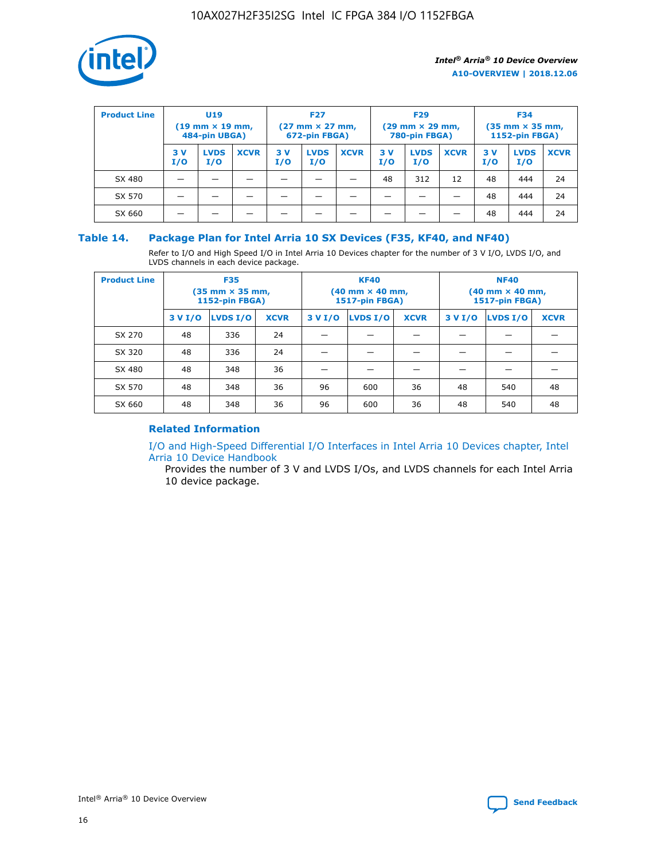

| <b>Product Line</b> | U <sub>19</sub><br>$(19 \text{ mm} \times 19 \text{ mm})$<br>484-pin UBGA) |                    | <b>F27</b><br>$(27 \text{ mm} \times 27 \text{ mm})$<br>672-pin FBGA) |            |                    | <b>F29</b><br>$(29 \text{ mm} \times 29 \text{ mm})$<br>780-pin FBGA) |           |                    | <b>F34</b><br>$(35$ mm $\times$ 35 mm,<br><b>1152-pin FBGA)</b> |           |                    |             |
|---------------------|----------------------------------------------------------------------------|--------------------|-----------------------------------------------------------------------|------------|--------------------|-----------------------------------------------------------------------|-----------|--------------------|-----------------------------------------------------------------|-----------|--------------------|-------------|
|                     | 3V<br>I/O                                                                  | <b>LVDS</b><br>I/O | <b>XCVR</b>                                                           | 3 V<br>I/O | <b>LVDS</b><br>I/O | <b>XCVR</b>                                                           | 3V<br>I/O | <b>LVDS</b><br>I/O | <b>XCVR</b>                                                     | 3V<br>I/O | <b>LVDS</b><br>I/O | <b>XCVR</b> |
| SX 480              |                                                                            |                    |                                                                       |            |                    |                                                                       | 48        | 312                | 12                                                              | 48        | 444                | 24          |
| SX 570              |                                                                            |                    |                                                                       |            |                    |                                                                       |           |                    |                                                                 | 48        | 444                | 24          |
| SX 660              |                                                                            |                    |                                                                       |            |                    |                                                                       |           |                    |                                                                 | 48        | 444                | 24          |

#### **Table 14. Package Plan for Intel Arria 10 SX Devices (F35, KF40, and NF40)**

Refer to I/O and High Speed I/O in Intel Arria 10 Devices chapter for the number of 3 V I/O, LVDS I/O, and LVDS channels in each device package.

| <b>Product Line</b> | <b>F35</b><br>(35 mm × 35 mm,<br><b>1152-pin FBGA)</b> |          |             |                                           | <b>KF40</b><br>(40 mm × 40 mm,<br>1517-pin FBGA) |    | <b>NF40</b><br>$(40 \text{ mm} \times 40 \text{ mm})$<br>1517-pin FBGA) |          |             |  |
|---------------------|--------------------------------------------------------|----------|-------------|-------------------------------------------|--------------------------------------------------|----|-------------------------------------------------------------------------|----------|-------------|--|
|                     | 3 V I/O                                                | LVDS I/O | <b>XCVR</b> | <b>LVDS I/O</b><br>3 V I/O<br><b>XCVR</b> |                                                  |    | 3 V I/O                                                                 | LVDS I/O | <b>XCVR</b> |  |
| SX 270              | 48                                                     | 336      | 24          |                                           |                                                  |    |                                                                         |          |             |  |
| SX 320              | 48                                                     | 336      | 24          |                                           |                                                  |    |                                                                         |          |             |  |
| SX 480              | 48                                                     | 348      | 36          |                                           |                                                  |    |                                                                         |          |             |  |
| SX 570              | 48                                                     | 348      | 36          | 96                                        | 600                                              | 36 | 48                                                                      | 540      | 48          |  |
| SX 660              | 48                                                     | 348      | 36          | 96                                        | 600                                              | 36 | 48                                                                      | 540      | 48          |  |

#### **Related Information**

[I/O and High-Speed Differential I/O Interfaces in Intel Arria 10 Devices chapter, Intel](https://www.intel.com/content/www/us/en/programmable/documentation/sam1403482614086.html#sam1403482030321) [Arria 10 Device Handbook](https://www.intel.com/content/www/us/en/programmable/documentation/sam1403482614086.html#sam1403482030321)

Provides the number of 3 V and LVDS I/Os, and LVDS channels for each Intel Arria 10 device package.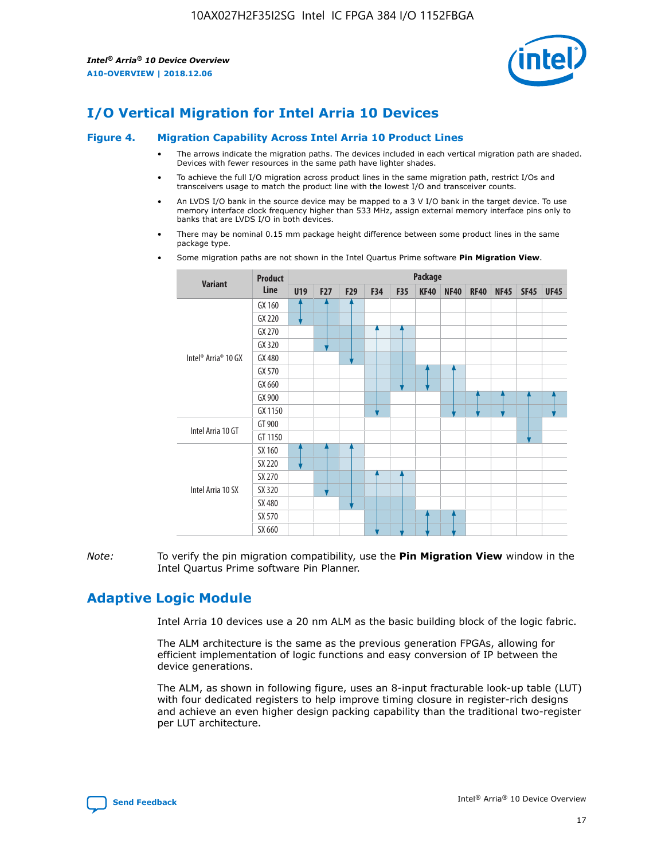

# **I/O Vertical Migration for Intel Arria 10 Devices**

#### **Figure 4. Migration Capability Across Intel Arria 10 Product Lines**

- The arrows indicate the migration paths. The devices included in each vertical migration path are shaded. Devices with fewer resources in the same path have lighter shades.
- To achieve the full I/O migration across product lines in the same migration path, restrict I/Os and transceivers usage to match the product line with the lowest I/O and transceiver counts.
- An LVDS I/O bank in the source device may be mapped to a 3 V I/O bank in the target device. To use memory interface clock frequency higher than 533 MHz, assign external memory interface pins only to banks that are LVDS I/O in both devices.
- There may be nominal 0.15 mm package height difference between some product lines in the same package type.
	- **Variant Product Line Package U19 F27 F29 F34 F35 KF40 NF40 RF40 NF45 SF45 UF45** Intel® Arria® 10 GX GX 160 GX 220 GX 270 GX 320 GX 480 GX 570 GX 660 GX 900 GX 1150 Intel Arria 10 GT GT 900 GT 1150 Intel Arria 10 SX SX 160 SX 220 SX 270 SX 320 SX 480 SX 570 SX 660
- Some migration paths are not shown in the Intel Quartus Prime software **Pin Migration View**.

*Note:* To verify the pin migration compatibility, use the **Pin Migration View** window in the Intel Quartus Prime software Pin Planner.

# **Adaptive Logic Module**

Intel Arria 10 devices use a 20 nm ALM as the basic building block of the logic fabric.

The ALM architecture is the same as the previous generation FPGAs, allowing for efficient implementation of logic functions and easy conversion of IP between the device generations.

The ALM, as shown in following figure, uses an 8-input fracturable look-up table (LUT) with four dedicated registers to help improve timing closure in register-rich designs and achieve an even higher design packing capability than the traditional two-register per LUT architecture.

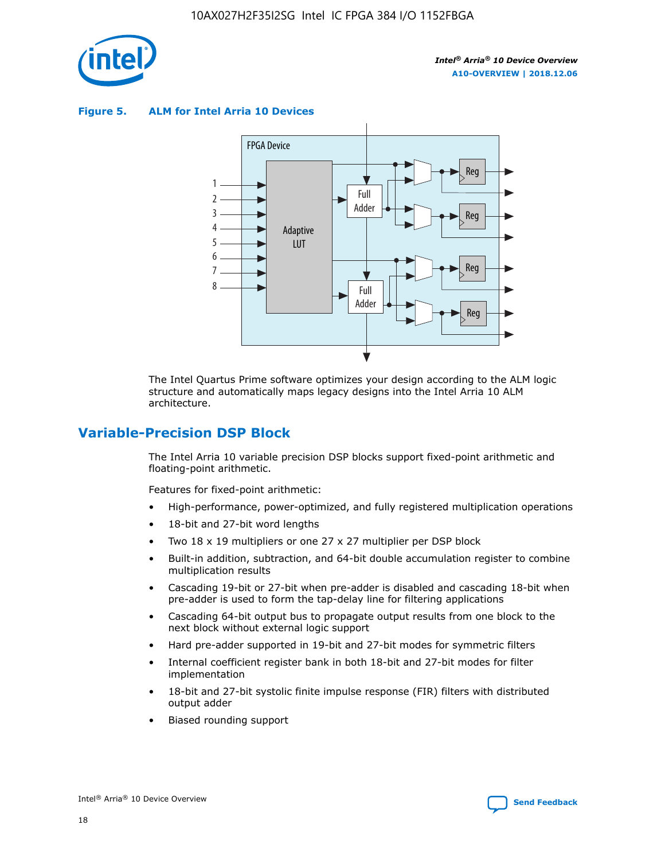

**Figure 5. ALM for Intel Arria 10 Devices**



The Intel Quartus Prime software optimizes your design according to the ALM logic structure and automatically maps legacy designs into the Intel Arria 10 ALM architecture.

# **Variable-Precision DSP Block**

The Intel Arria 10 variable precision DSP blocks support fixed-point arithmetic and floating-point arithmetic.

Features for fixed-point arithmetic:

- High-performance, power-optimized, and fully registered multiplication operations
- 18-bit and 27-bit word lengths
- Two 18 x 19 multipliers or one 27 x 27 multiplier per DSP block
- Built-in addition, subtraction, and 64-bit double accumulation register to combine multiplication results
- Cascading 19-bit or 27-bit when pre-adder is disabled and cascading 18-bit when pre-adder is used to form the tap-delay line for filtering applications
- Cascading 64-bit output bus to propagate output results from one block to the next block without external logic support
- Hard pre-adder supported in 19-bit and 27-bit modes for symmetric filters
- Internal coefficient register bank in both 18-bit and 27-bit modes for filter implementation
- 18-bit and 27-bit systolic finite impulse response (FIR) filters with distributed output adder
- Biased rounding support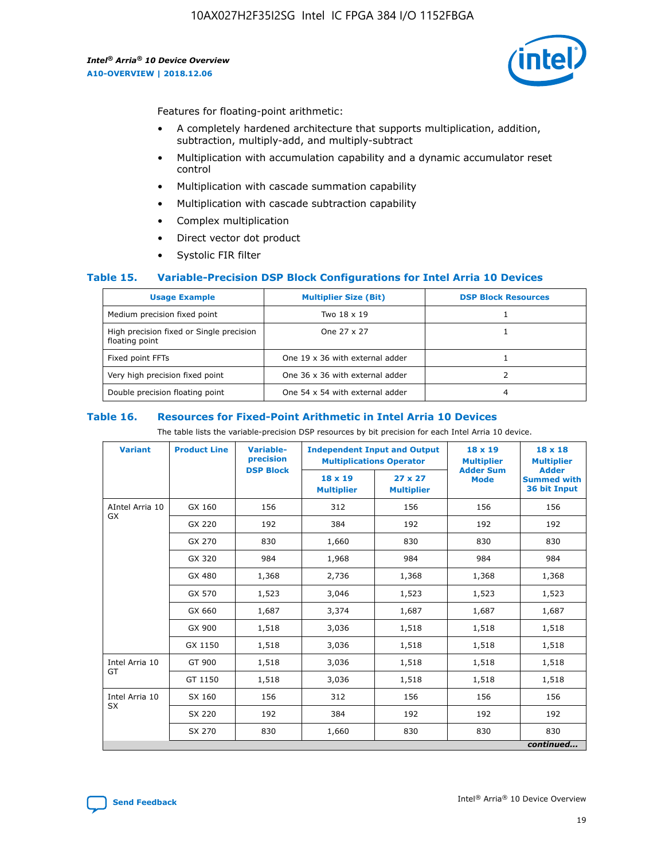

Features for floating-point arithmetic:

- A completely hardened architecture that supports multiplication, addition, subtraction, multiply-add, and multiply-subtract
- Multiplication with accumulation capability and a dynamic accumulator reset control
- Multiplication with cascade summation capability
- Multiplication with cascade subtraction capability
- Complex multiplication
- Direct vector dot product
- Systolic FIR filter

#### **Table 15. Variable-Precision DSP Block Configurations for Intel Arria 10 Devices**

| <b>Usage Example</b>                                       | <b>Multiplier Size (Bit)</b>    | <b>DSP Block Resources</b> |
|------------------------------------------------------------|---------------------------------|----------------------------|
| Medium precision fixed point                               | Two 18 x 19                     |                            |
| High precision fixed or Single precision<br>floating point | One 27 x 27                     |                            |
| Fixed point FFTs                                           | One 19 x 36 with external adder |                            |
| Very high precision fixed point                            | One 36 x 36 with external adder |                            |
| Double precision floating point                            | One 54 x 54 with external adder | 4                          |

#### **Table 16. Resources for Fixed-Point Arithmetic in Intel Arria 10 Devices**

The table lists the variable-precision DSP resources by bit precision for each Intel Arria 10 device.

| <b>Variant</b>        | <b>Product Line</b> | <b>Variable-</b><br>precision<br><b>DSP Block</b> | <b>Independent Input and Output</b><br><b>Multiplications Operator</b> |                                     | 18 x 19<br><b>Multiplier</b><br><b>Adder Sum</b> | $18 \times 18$<br><b>Multiplier</b><br><b>Adder</b> |
|-----------------------|---------------------|---------------------------------------------------|------------------------------------------------------------------------|-------------------------------------|--------------------------------------------------|-----------------------------------------------------|
|                       |                     |                                                   | 18 x 19<br><b>Multiplier</b>                                           | $27 \times 27$<br><b>Multiplier</b> | <b>Mode</b>                                      | <b>Summed with</b><br>36 bit Input                  |
| AIntel Arria 10<br>GX | GX 160              | 156                                               | 312                                                                    | 156                                 | 156                                              | 156                                                 |
|                       | GX 220              | 192                                               | 384                                                                    | 192                                 | 192                                              | 192                                                 |
|                       | GX 270              | 830                                               | 1,660                                                                  | 830                                 | 830                                              | 830                                                 |
|                       | GX 320              | 984                                               | 1,968                                                                  | 984                                 | 984                                              | 984                                                 |
|                       | GX 480              | 1,368                                             | 2,736                                                                  | 1,368                               | 1,368                                            | 1,368                                               |
|                       | GX 570              | 1,523                                             | 3,046                                                                  | 1,523                               | 1,523                                            | 1,523                                               |
|                       | GX 660              | 1,687                                             | 3,374                                                                  | 1,687                               | 1,687                                            | 1,687                                               |
|                       | GX 900              | 1,518                                             | 3,036                                                                  | 1,518                               | 1,518                                            | 1,518                                               |
|                       | GX 1150             | 1,518                                             | 3,036                                                                  | 1,518                               | 1,518                                            | 1,518                                               |
| Intel Arria 10        | GT 900              | 1,518                                             | 3,036                                                                  | 1,518                               | 1,518                                            | 1,518                                               |
| GT                    | GT 1150             | 1,518                                             | 3,036                                                                  | 1,518                               | 1,518                                            | 1,518                                               |
| Intel Arria 10        | SX 160              | 156                                               | 312                                                                    | 156                                 | 156                                              | 156                                                 |
| <b>SX</b>             | SX 220              | 192                                               | 384                                                                    | 192                                 | 192                                              | 192                                                 |
|                       | SX 270              | 830                                               | 1,660                                                                  | 830                                 | 830                                              | 830                                                 |
|                       |                     |                                                   |                                                                        |                                     |                                                  | continued                                           |

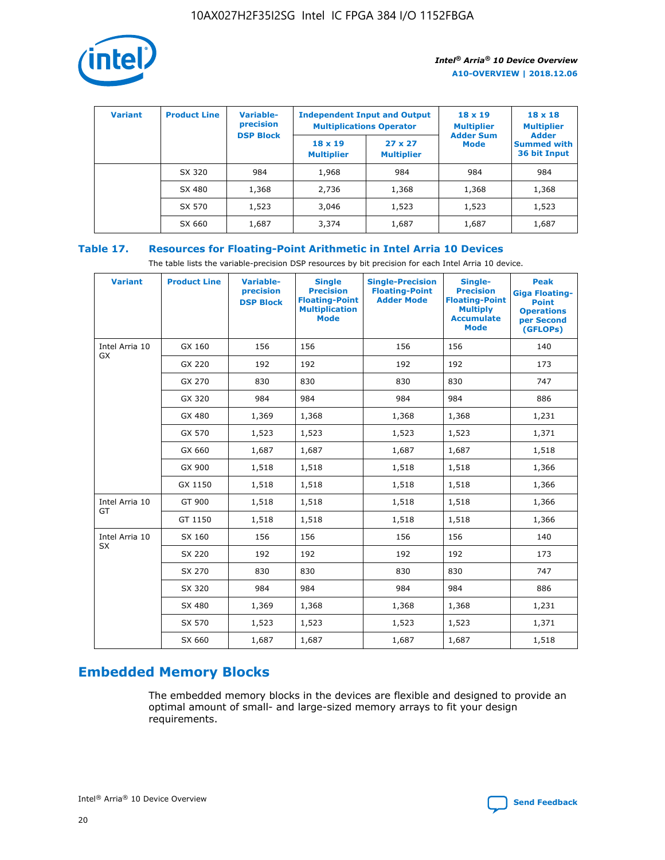

| <b>Variant</b> | <b>Product Line</b> | Variable-<br>precision | <b>Independent Input and Output</b> | <b>Multiplications Operator</b>     | $18 \times 19$<br><b>Multiplier</b> | $18 \times 18$<br><b>Multiplier</b><br><b>Adder</b> |  |
|----------------|---------------------|------------------------|-------------------------------------|-------------------------------------|-------------------------------------|-----------------------------------------------------|--|
|                |                     | <b>DSP Block</b>       | $18 \times 19$<br><b>Multiplier</b> | $27 \times 27$<br><b>Multiplier</b> | <b>Adder Sum</b><br><b>Mode</b>     | <b>Summed with</b><br>36 bit Input                  |  |
|                | SX 320              | 984                    | 1,968                               | 984                                 | 984                                 | 984                                                 |  |
|                | SX 480              | 1,368                  | 2,736                               | 1,368                               | 1,368                               | 1,368                                               |  |
|                | SX 570              | 1,523                  | 3,046                               | 1,523                               | 1,523                               | 1,523                                               |  |
|                | SX 660              | 1,687                  | 3,374                               | 1,687                               | 1,687                               | 1,687                                               |  |

# **Table 17. Resources for Floating-Point Arithmetic in Intel Arria 10 Devices**

The table lists the variable-precision DSP resources by bit precision for each Intel Arria 10 device.

| <b>Variant</b> | <b>Product Line</b> | <b>Variable-</b><br>precision<br><b>DSP Block</b> | <b>Single</b><br><b>Precision</b><br><b>Floating-Point</b><br><b>Multiplication</b><br><b>Mode</b> | <b>Single-Precision</b><br><b>Floating-Point</b><br><b>Adder Mode</b> | Single-<br><b>Precision</b><br><b>Floating-Point</b><br><b>Multiply</b><br><b>Accumulate</b><br><b>Mode</b> | <b>Peak</b><br><b>Giga Floating-</b><br><b>Point</b><br><b>Operations</b><br>per Second<br>(GFLOPs) |
|----------------|---------------------|---------------------------------------------------|----------------------------------------------------------------------------------------------------|-----------------------------------------------------------------------|-------------------------------------------------------------------------------------------------------------|-----------------------------------------------------------------------------------------------------|
| Intel Arria 10 | GX 160              | 156                                               | 156                                                                                                | 156                                                                   | 156                                                                                                         | 140                                                                                                 |
| GX             | GX 220              | 192                                               | 192                                                                                                | 192                                                                   | 192                                                                                                         | 173                                                                                                 |
|                | GX 270              | 830                                               | 830                                                                                                | 830                                                                   | 830                                                                                                         | 747                                                                                                 |
|                | GX 320              | 984                                               | 984                                                                                                | 984                                                                   | 984                                                                                                         | 886                                                                                                 |
|                | GX 480              | 1,369                                             | 1,368                                                                                              | 1,368                                                                 | 1,368                                                                                                       | 1,231                                                                                               |
|                | GX 570              | 1,523                                             | 1,523                                                                                              | 1,523                                                                 | 1,523                                                                                                       | 1,371                                                                                               |
|                | GX 660              | 1,687                                             | 1,687                                                                                              | 1,687                                                                 | 1,687                                                                                                       | 1,518                                                                                               |
|                | GX 900              | 1,518                                             | 1,518                                                                                              | 1,518                                                                 | 1,518                                                                                                       | 1,366                                                                                               |
|                | GX 1150             | 1,518                                             | 1,518                                                                                              | 1,518                                                                 | 1,518                                                                                                       | 1,366                                                                                               |
| Intel Arria 10 | GT 900              | 1,518                                             | 1,518                                                                                              | 1,518                                                                 | 1,518                                                                                                       | 1,366                                                                                               |
| GT             | GT 1150             | 1,518                                             | 1,518                                                                                              | 1,518                                                                 | 1,518                                                                                                       | 1,366                                                                                               |
| Intel Arria 10 | SX 160              | 156                                               | 156                                                                                                | 156                                                                   | 156                                                                                                         | 140                                                                                                 |
| <b>SX</b>      | SX 220              | 192                                               | 192                                                                                                | 192                                                                   | 192                                                                                                         | 173                                                                                                 |
|                | SX 270              | 830                                               | 830                                                                                                | 830                                                                   | 830                                                                                                         | 747                                                                                                 |
|                | SX 320              | 984                                               | 984                                                                                                | 984                                                                   | 984                                                                                                         | 886                                                                                                 |
|                | SX 480              | 1,369                                             | 1,368                                                                                              | 1,368                                                                 | 1,368                                                                                                       | 1,231                                                                                               |
|                | SX 570              | 1,523                                             | 1,523                                                                                              | 1,523                                                                 | 1,523                                                                                                       | 1,371                                                                                               |
|                | SX 660              | 1,687                                             | 1,687                                                                                              | 1,687                                                                 | 1,687                                                                                                       | 1,518                                                                                               |

# **Embedded Memory Blocks**

The embedded memory blocks in the devices are flexible and designed to provide an optimal amount of small- and large-sized memory arrays to fit your design requirements.

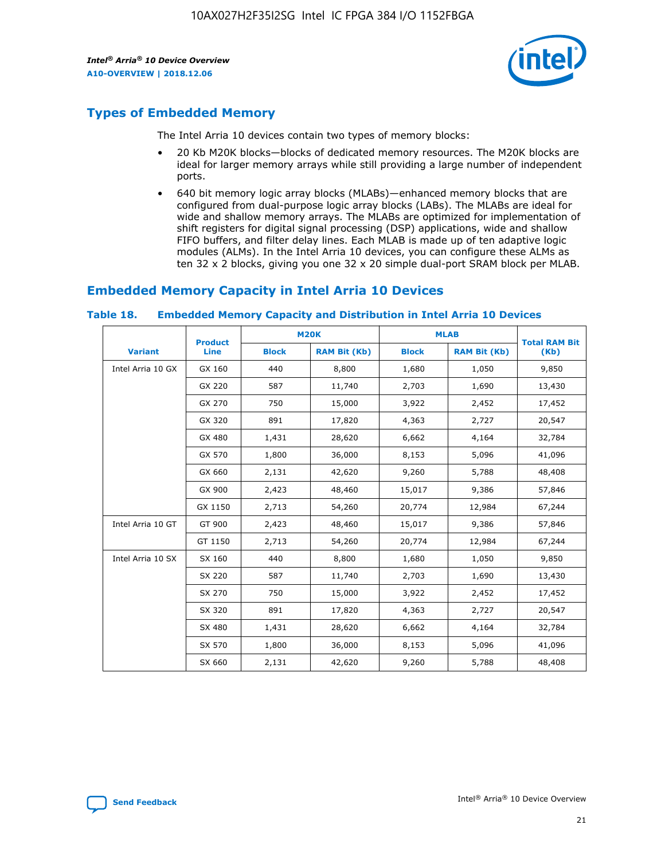

# **Types of Embedded Memory**

The Intel Arria 10 devices contain two types of memory blocks:

- 20 Kb M20K blocks—blocks of dedicated memory resources. The M20K blocks are ideal for larger memory arrays while still providing a large number of independent ports.
- 640 bit memory logic array blocks (MLABs)—enhanced memory blocks that are configured from dual-purpose logic array blocks (LABs). The MLABs are ideal for wide and shallow memory arrays. The MLABs are optimized for implementation of shift registers for digital signal processing (DSP) applications, wide and shallow FIFO buffers, and filter delay lines. Each MLAB is made up of ten adaptive logic modules (ALMs). In the Intel Arria 10 devices, you can configure these ALMs as ten 32 x 2 blocks, giving you one 32 x 20 simple dual-port SRAM block per MLAB.

# **Embedded Memory Capacity in Intel Arria 10 Devices**

|                   | <b>Product</b> |              | <b>M20K</b>         | <b>MLAB</b>  |                     | <b>Total RAM Bit</b> |
|-------------------|----------------|--------------|---------------------|--------------|---------------------|----------------------|
| <b>Variant</b>    | <b>Line</b>    | <b>Block</b> | <b>RAM Bit (Kb)</b> | <b>Block</b> | <b>RAM Bit (Kb)</b> | (Kb)                 |
| Intel Arria 10 GX | GX 160         | 440          | 8,800               | 1,680        | 1,050               | 9,850                |
|                   | GX 220         | 587          | 11,740              | 2,703        | 1,690               | 13,430               |
|                   | GX 270         | 750          | 15,000              | 3,922        | 2,452               | 17,452               |
|                   | GX 320         | 891          | 17,820              | 4,363        | 2,727               | 20,547               |
|                   | GX 480         | 1,431        | 28,620              | 6,662        | 4,164               | 32,784               |
|                   | GX 570         | 1,800        | 36,000              | 8,153        | 5,096               | 41,096               |
|                   | GX 660         | 2,131        | 42,620              | 9,260        | 5,788               | 48,408               |
|                   | GX 900         | 2,423        | 48,460              | 15,017       | 9,386               | 57,846               |
|                   | GX 1150        | 2,713        | 54,260              | 20,774       | 12,984              | 67,244               |
| Intel Arria 10 GT | GT 900         | 2,423        | 48,460              | 15,017       | 9,386               | 57,846               |
|                   | GT 1150        | 2,713        | 54,260              | 20,774       | 12,984              | 67,244               |
| Intel Arria 10 SX | SX 160         | 440          | 8,800               | 1,680        | 1,050               | 9,850                |
|                   | SX 220         | 587          | 11,740              | 2,703        | 1,690               | 13,430               |
|                   | SX 270         | 750          | 15,000              | 3,922        | 2,452               | 17,452               |
|                   | SX 320         | 891          | 17,820              | 4,363        | 2,727               | 20,547               |
|                   | SX 480         | 1,431        | 28,620              | 6,662        | 4,164               | 32,784               |
|                   | SX 570         | 1,800        | 36,000              | 8,153        | 5,096               | 41,096               |
|                   | SX 660         | 2,131        | 42,620              | 9,260        | 5,788               | 48,408               |

#### **Table 18. Embedded Memory Capacity and Distribution in Intel Arria 10 Devices**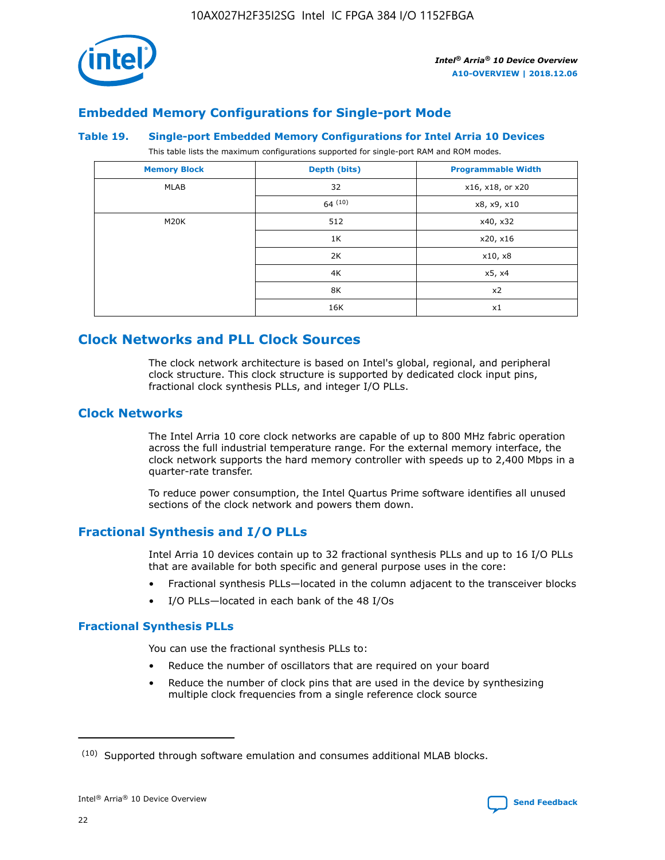

# **Embedded Memory Configurations for Single-port Mode**

#### **Table 19. Single-port Embedded Memory Configurations for Intel Arria 10 Devices**

This table lists the maximum configurations supported for single-port RAM and ROM modes.

| <b>Memory Block</b> | Depth (bits)           | <b>Programmable Width</b> |
|---------------------|------------------------|---------------------------|
| MLAB                | 32<br>x16, x18, or x20 |                           |
|                     | 64(10)                 | x8, x9, x10               |
| M20K                | 512                    | x40, x32                  |
|                     | 1K                     | x20, x16                  |
|                     | 2K                     | x10, x8                   |
|                     | 4K                     | x5, x4                    |
|                     | 8K                     | x2                        |
|                     | 16K                    | x1                        |

# **Clock Networks and PLL Clock Sources**

The clock network architecture is based on Intel's global, regional, and peripheral clock structure. This clock structure is supported by dedicated clock input pins, fractional clock synthesis PLLs, and integer I/O PLLs.

#### **Clock Networks**

The Intel Arria 10 core clock networks are capable of up to 800 MHz fabric operation across the full industrial temperature range. For the external memory interface, the clock network supports the hard memory controller with speeds up to 2,400 Mbps in a quarter-rate transfer.

To reduce power consumption, the Intel Quartus Prime software identifies all unused sections of the clock network and powers them down.

#### **Fractional Synthesis and I/O PLLs**

Intel Arria 10 devices contain up to 32 fractional synthesis PLLs and up to 16 I/O PLLs that are available for both specific and general purpose uses in the core:

- Fractional synthesis PLLs—located in the column adjacent to the transceiver blocks
- I/O PLLs—located in each bank of the 48 I/Os

#### **Fractional Synthesis PLLs**

You can use the fractional synthesis PLLs to:

- Reduce the number of oscillators that are required on your board
- Reduce the number of clock pins that are used in the device by synthesizing multiple clock frequencies from a single reference clock source

<sup>(10)</sup> Supported through software emulation and consumes additional MLAB blocks.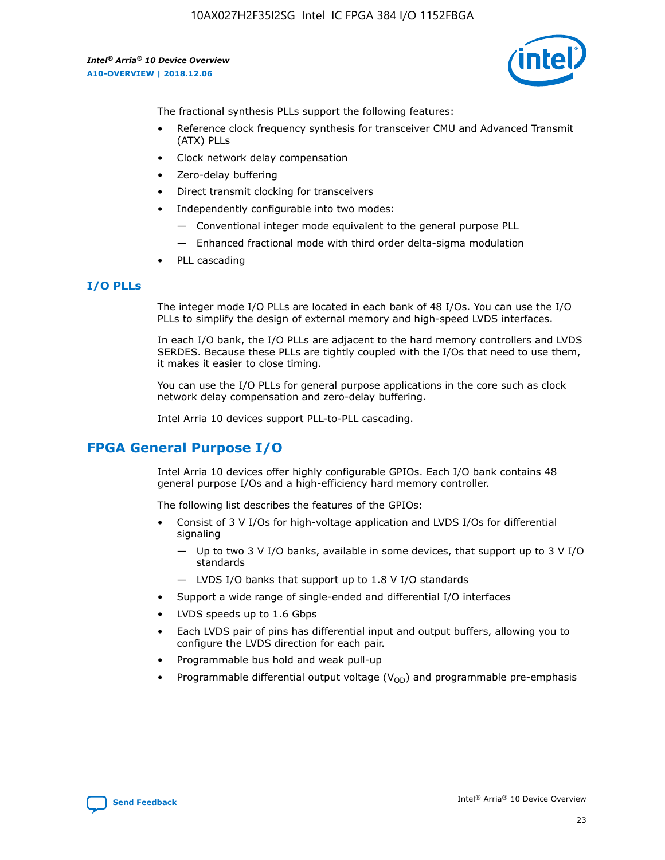

The fractional synthesis PLLs support the following features:

- Reference clock frequency synthesis for transceiver CMU and Advanced Transmit (ATX) PLLs
- Clock network delay compensation
- Zero-delay buffering
- Direct transmit clocking for transceivers
- Independently configurable into two modes:
	- Conventional integer mode equivalent to the general purpose PLL
	- Enhanced fractional mode with third order delta-sigma modulation
- PLL cascading

#### **I/O PLLs**

The integer mode I/O PLLs are located in each bank of 48 I/Os. You can use the I/O PLLs to simplify the design of external memory and high-speed LVDS interfaces.

In each I/O bank, the I/O PLLs are adjacent to the hard memory controllers and LVDS SERDES. Because these PLLs are tightly coupled with the I/Os that need to use them, it makes it easier to close timing.

You can use the I/O PLLs for general purpose applications in the core such as clock network delay compensation and zero-delay buffering.

Intel Arria 10 devices support PLL-to-PLL cascading.

# **FPGA General Purpose I/O**

Intel Arria 10 devices offer highly configurable GPIOs. Each I/O bank contains 48 general purpose I/Os and a high-efficiency hard memory controller.

The following list describes the features of the GPIOs:

- Consist of 3 V I/Os for high-voltage application and LVDS I/Os for differential signaling
	- Up to two 3 V I/O banks, available in some devices, that support up to 3 V I/O standards
	- LVDS I/O banks that support up to 1.8 V I/O standards
- Support a wide range of single-ended and differential I/O interfaces
- LVDS speeds up to 1.6 Gbps
- Each LVDS pair of pins has differential input and output buffers, allowing you to configure the LVDS direction for each pair.
- Programmable bus hold and weak pull-up
- Programmable differential output voltage  $(V_{OD})$  and programmable pre-emphasis

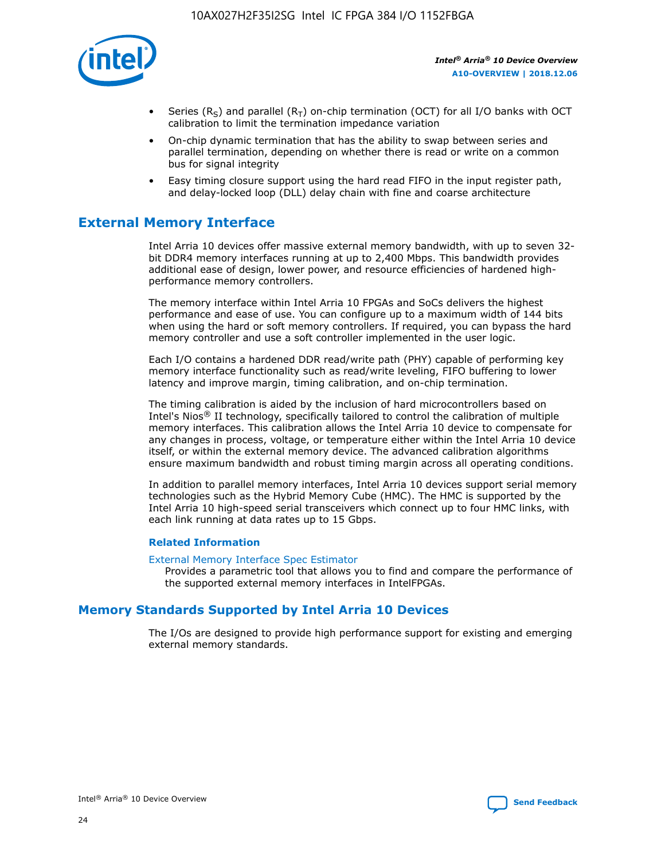

- Series (R<sub>S</sub>) and parallel (R<sub>T</sub>) on-chip termination (OCT) for all I/O banks with OCT calibration to limit the termination impedance variation
- On-chip dynamic termination that has the ability to swap between series and parallel termination, depending on whether there is read or write on a common bus for signal integrity
- Easy timing closure support using the hard read FIFO in the input register path, and delay-locked loop (DLL) delay chain with fine and coarse architecture

# **External Memory Interface**

Intel Arria 10 devices offer massive external memory bandwidth, with up to seven 32 bit DDR4 memory interfaces running at up to 2,400 Mbps. This bandwidth provides additional ease of design, lower power, and resource efficiencies of hardened highperformance memory controllers.

The memory interface within Intel Arria 10 FPGAs and SoCs delivers the highest performance and ease of use. You can configure up to a maximum width of 144 bits when using the hard or soft memory controllers. If required, you can bypass the hard memory controller and use a soft controller implemented in the user logic.

Each I/O contains a hardened DDR read/write path (PHY) capable of performing key memory interface functionality such as read/write leveling, FIFO buffering to lower latency and improve margin, timing calibration, and on-chip termination.

The timing calibration is aided by the inclusion of hard microcontrollers based on Intel's Nios® II technology, specifically tailored to control the calibration of multiple memory interfaces. This calibration allows the Intel Arria 10 device to compensate for any changes in process, voltage, or temperature either within the Intel Arria 10 device itself, or within the external memory device. The advanced calibration algorithms ensure maximum bandwidth and robust timing margin across all operating conditions.

In addition to parallel memory interfaces, Intel Arria 10 devices support serial memory technologies such as the Hybrid Memory Cube (HMC). The HMC is supported by the Intel Arria 10 high-speed serial transceivers which connect up to four HMC links, with each link running at data rates up to 15 Gbps.

#### **Related Information**

#### [External Memory Interface Spec Estimator](http://www.altera.com/technology/memory/estimator/mem-emif-index.html)

Provides a parametric tool that allows you to find and compare the performance of the supported external memory interfaces in IntelFPGAs.

# **Memory Standards Supported by Intel Arria 10 Devices**

The I/Os are designed to provide high performance support for existing and emerging external memory standards.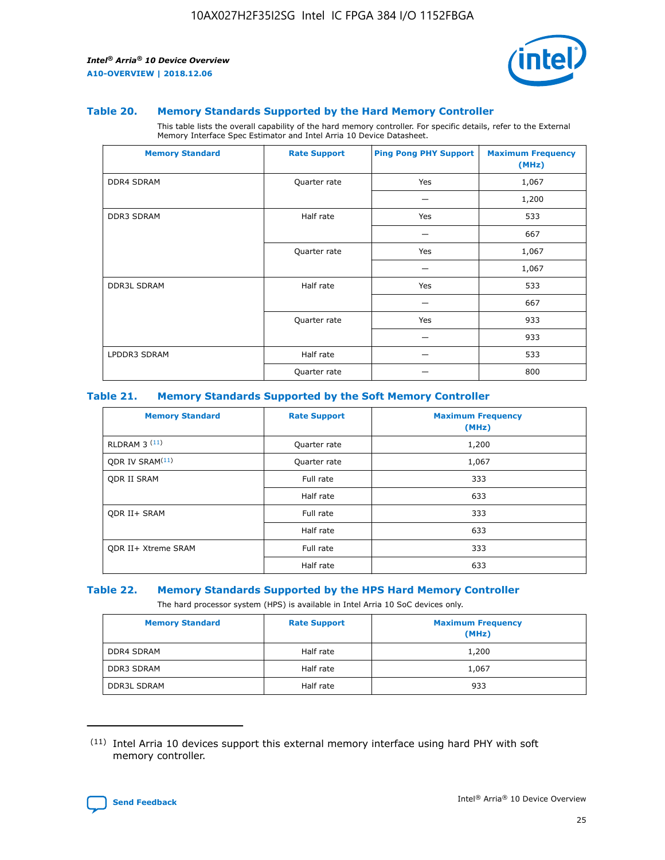

#### **Table 20. Memory Standards Supported by the Hard Memory Controller**

This table lists the overall capability of the hard memory controller. For specific details, refer to the External Memory Interface Spec Estimator and Intel Arria 10 Device Datasheet.

| <b>Memory Standard</b> | <b>Rate Support</b> | <b>Ping Pong PHY Support</b> | <b>Maximum Frequency</b><br>(MHz) |
|------------------------|---------------------|------------------------------|-----------------------------------|
| <b>DDR4 SDRAM</b>      | Quarter rate        | Yes                          | 1,067                             |
|                        |                     |                              | 1,200                             |
| DDR3 SDRAM             | Half rate           | Yes                          | 533                               |
|                        |                     |                              | 667                               |
|                        | Quarter rate        | Yes                          | 1,067                             |
|                        |                     |                              | 1,067                             |
| <b>DDR3L SDRAM</b>     | Half rate           | Yes                          | 533                               |
|                        |                     |                              | 667                               |
|                        | Quarter rate        | Yes                          | 933                               |
|                        |                     |                              | 933                               |
| LPDDR3 SDRAM           | Half rate           |                              | 533                               |
|                        | Quarter rate        |                              | 800                               |

#### **Table 21. Memory Standards Supported by the Soft Memory Controller**

| <b>Memory Standard</b>      | <b>Rate Support</b> | <b>Maximum Frequency</b><br>(MHz) |
|-----------------------------|---------------------|-----------------------------------|
| <b>RLDRAM 3 (11)</b>        | Quarter rate        | 1,200                             |
| ODR IV SRAM <sup>(11)</sup> | Quarter rate        | 1,067                             |
| <b>ODR II SRAM</b>          | Full rate           | 333                               |
|                             | Half rate           | 633                               |
| <b>ODR II+ SRAM</b>         | Full rate           | 333                               |
|                             | Half rate           | 633                               |
| <b>ODR II+ Xtreme SRAM</b>  | Full rate           | 333                               |
|                             | Half rate           | 633                               |

#### **Table 22. Memory Standards Supported by the HPS Hard Memory Controller**

The hard processor system (HPS) is available in Intel Arria 10 SoC devices only.

| <b>Memory Standard</b> | <b>Rate Support</b> | <b>Maximum Frequency</b><br>(MHz) |
|------------------------|---------------------|-----------------------------------|
| <b>DDR4 SDRAM</b>      | Half rate           | 1,200                             |
| <b>DDR3 SDRAM</b>      | Half rate           | 1,067                             |
| <b>DDR3L SDRAM</b>     | Half rate           | 933                               |

<sup>(11)</sup> Intel Arria 10 devices support this external memory interface using hard PHY with soft memory controller.

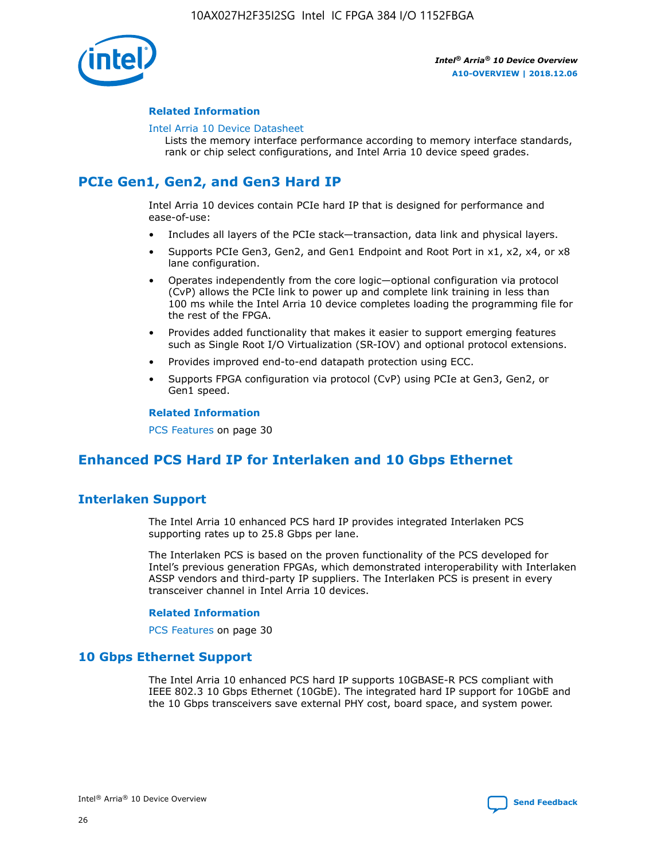

#### **Related Information**

#### [Intel Arria 10 Device Datasheet](https://www.intel.com/content/www/us/en/programmable/documentation/mcn1413182292568.html#mcn1413182153340)

Lists the memory interface performance according to memory interface standards, rank or chip select configurations, and Intel Arria 10 device speed grades.

# **PCIe Gen1, Gen2, and Gen3 Hard IP**

Intel Arria 10 devices contain PCIe hard IP that is designed for performance and ease-of-use:

- Includes all layers of the PCIe stack—transaction, data link and physical layers.
- Supports PCIe Gen3, Gen2, and Gen1 Endpoint and Root Port in x1, x2, x4, or x8 lane configuration.
- Operates independently from the core logic—optional configuration via protocol (CvP) allows the PCIe link to power up and complete link training in less than 100 ms while the Intel Arria 10 device completes loading the programming file for the rest of the FPGA.
- Provides added functionality that makes it easier to support emerging features such as Single Root I/O Virtualization (SR-IOV) and optional protocol extensions.
- Provides improved end-to-end datapath protection using ECC.
- Supports FPGA configuration via protocol (CvP) using PCIe at Gen3, Gen2, or Gen1 speed.

#### **Related Information**

PCS Features on page 30

# **Enhanced PCS Hard IP for Interlaken and 10 Gbps Ethernet**

# **Interlaken Support**

The Intel Arria 10 enhanced PCS hard IP provides integrated Interlaken PCS supporting rates up to 25.8 Gbps per lane.

The Interlaken PCS is based on the proven functionality of the PCS developed for Intel's previous generation FPGAs, which demonstrated interoperability with Interlaken ASSP vendors and third-party IP suppliers. The Interlaken PCS is present in every transceiver channel in Intel Arria 10 devices.

#### **Related Information**

PCS Features on page 30

# **10 Gbps Ethernet Support**

The Intel Arria 10 enhanced PCS hard IP supports 10GBASE-R PCS compliant with IEEE 802.3 10 Gbps Ethernet (10GbE). The integrated hard IP support for 10GbE and the 10 Gbps transceivers save external PHY cost, board space, and system power.

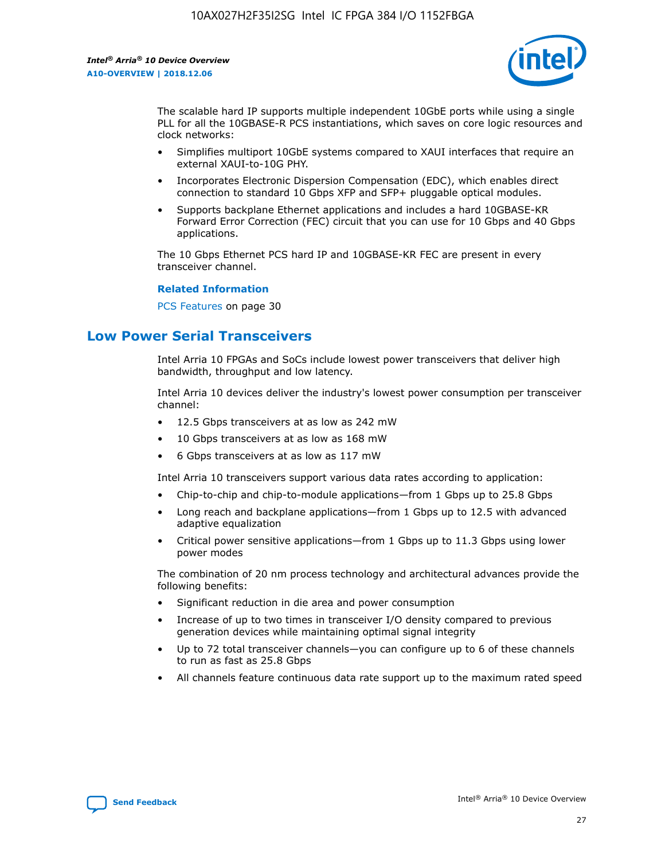

The scalable hard IP supports multiple independent 10GbE ports while using a single PLL for all the 10GBASE-R PCS instantiations, which saves on core logic resources and clock networks:

- Simplifies multiport 10GbE systems compared to XAUI interfaces that require an external XAUI-to-10G PHY.
- Incorporates Electronic Dispersion Compensation (EDC), which enables direct connection to standard 10 Gbps XFP and SFP+ pluggable optical modules.
- Supports backplane Ethernet applications and includes a hard 10GBASE-KR Forward Error Correction (FEC) circuit that you can use for 10 Gbps and 40 Gbps applications.

The 10 Gbps Ethernet PCS hard IP and 10GBASE-KR FEC are present in every transceiver channel.

#### **Related Information**

PCS Features on page 30

# **Low Power Serial Transceivers**

Intel Arria 10 FPGAs and SoCs include lowest power transceivers that deliver high bandwidth, throughput and low latency.

Intel Arria 10 devices deliver the industry's lowest power consumption per transceiver channel:

- 12.5 Gbps transceivers at as low as 242 mW
- 10 Gbps transceivers at as low as 168 mW
- 6 Gbps transceivers at as low as 117 mW

Intel Arria 10 transceivers support various data rates according to application:

- Chip-to-chip and chip-to-module applications—from 1 Gbps up to 25.8 Gbps
- Long reach and backplane applications—from 1 Gbps up to 12.5 with advanced adaptive equalization
- Critical power sensitive applications—from 1 Gbps up to 11.3 Gbps using lower power modes

The combination of 20 nm process technology and architectural advances provide the following benefits:

- Significant reduction in die area and power consumption
- Increase of up to two times in transceiver I/O density compared to previous generation devices while maintaining optimal signal integrity
- Up to 72 total transceiver channels—you can configure up to 6 of these channels to run as fast as 25.8 Gbps
- All channels feature continuous data rate support up to the maximum rated speed

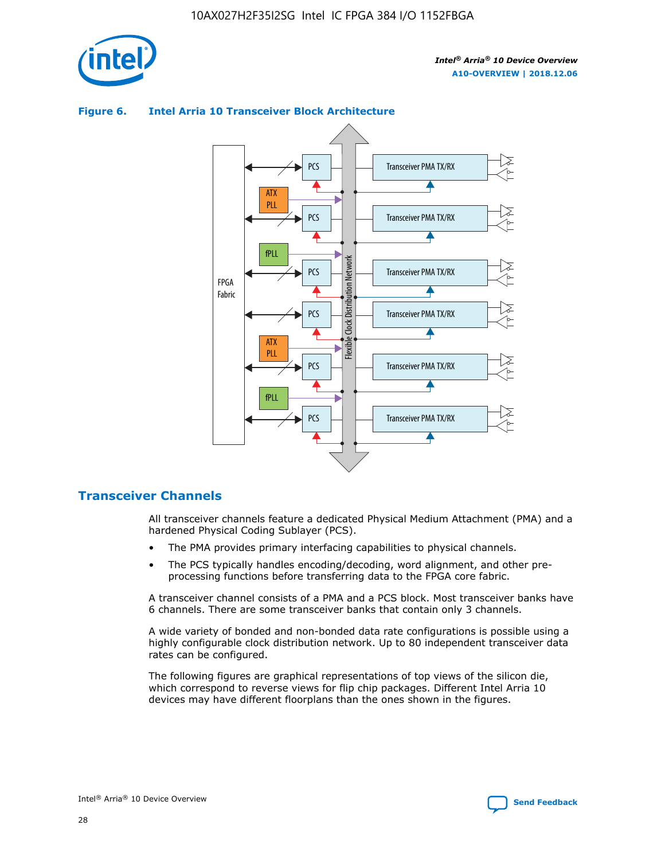

# **Figure 6. Intel Arria 10 Transceiver Block Architecture**



# **Transceiver Channels**

All transceiver channels feature a dedicated Physical Medium Attachment (PMA) and a hardened Physical Coding Sublayer (PCS).

- The PMA provides primary interfacing capabilities to physical channels.
- The PCS typically handles encoding/decoding, word alignment, and other preprocessing functions before transferring data to the FPGA core fabric.

A transceiver channel consists of a PMA and a PCS block. Most transceiver banks have 6 channels. There are some transceiver banks that contain only 3 channels.

A wide variety of bonded and non-bonded data rate configurations is possible using a highly configurable clock distribution network. Up to 80 independent transceiver data rates can be configured.

The following figures are graphical representations of top views of the silicon die, which correspond to reverse views for flip chip packages. Different Intel Arria 10 devices may have different floorplans than the ones shown in the figures.

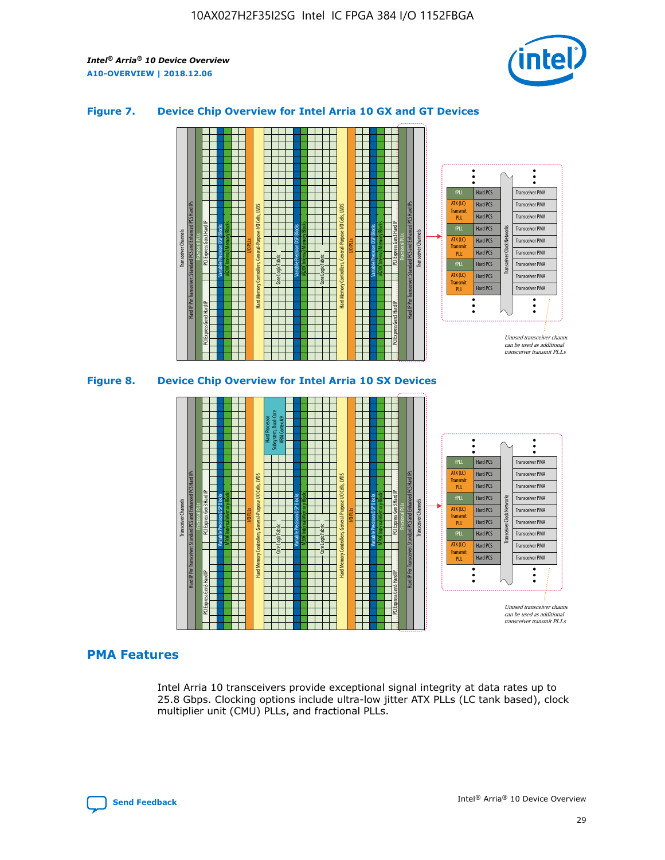

#### **Figure 7. Device Chip Overview for Intel Arria 10 GX and GT Devices**



# **PMA Features**

Intel Arria 10 transceivers provide exceptional signal integrity at data rates up to 25.8 Gbps. Clocking options include ultra-low jitter ATX PLLs (LC tank based), clock multiplier unit (CMU) PLLs, and fractional PLLs.



Hard PCS Hard PCS Hard PCS Hard PCS Hard PCS

ATX (LC) Transmi PLL fPLL ATX (LC) **Transmit** PLL

Transceiver PMA Transceiver PMA Transceiver PMA

Transceiver PMA Transceiver PMA

Unused transceiver chann can be used as additional transceiver transmit PLLs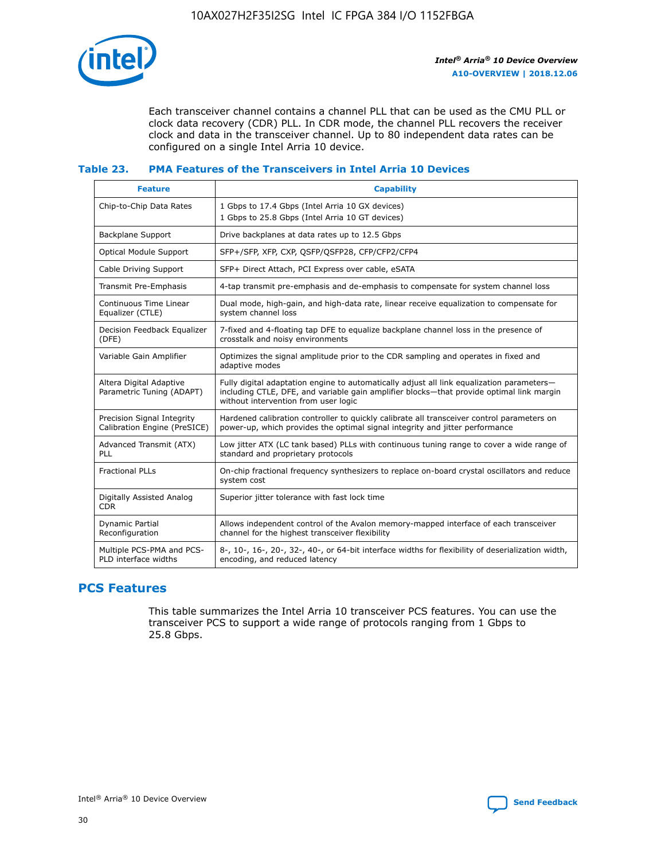

Each transceiver channel contains a channel PLL that can be used as the CMU PLL or clock data recovery (CDR) PLL. In CDR mode, the channel PLL recovers the receiver clock and data in the transceiver channel. Up to 80 independent data rates can be configured on a single Intel Arria 10 device.

#### **Table 23. PMA Features of the Transceivers in Intel Arria 10 Devices**

| <b>Feature</b>                                             | <b>Capability</b>                                                                                                                                                                                                             |
|------------------------------------------------------------|-------------------------------------------------------------------------------------------------------------------------------------------------------------------------------------------------------------------------------|
| Chip-to-Chip Data Rates                                    | 1 Gbps to 17.4 Gbps (Intel Arria 10 GX devices)<br>1 Gbps to 25.8 Gbps (Intel Arria 10 GT devices)                                                                                                                            |
| <b>Backplane Support</b>                                   | Drive backplanes at data rates up to 12.5 Gbps                                                                                                                                                                                |
| <b>Optical Module Support</b>                              | SFP+/SFP, XFP, CXP, QSFP/QSFP28, CFP/CFP2/CFP4                                                                                                                                                                                |
| Cable Driving Support                                      | SFP+ Direct Attach, PCI Express over cable, eSATA                                                                                                                                                                             |
| Transmit Pre-Emphasis                                      | 4-tap transmit pre-emphasis and de-emphasis to compensate for system channel loss                                                                                                                                             |
| Continuous Time Linear<br>Equalizer (CTLE)                 | Dual mode, high-gain, and high-data rate, linear receive equalization to compensate for<br>system channel loss                                                                                                                |
| Decision Feedback Equalizer<br>(DFE)                       | 7-fixed and 4-floating tap DFE to equalize backplane channel loss in the presence of<br>crosstalk and noisy environments                                                                                                      |
| Variable Gain Amplifier                                    | Optimizes the signal amplitude prior to the CDR sampling and operates in fixed and<br>adaptive modes                                                                                                                          |
| Altera Digital Adaptive<br>Parametric Tuning (ADAPT)       | Fully digital adaptation engine to automatically adjust all link equalization parameters-<br>including CTLE, DFE, and variable gain amplifier blocks—that provide optimal link margin<br>without intervention from user logic |
| Precision Signal Integrity<br>Calibration Engine (PreSICE) | Hardened calibration controller to quickly calibrate all transceiver control parameters on<br>power-up, which provides the optimal signal integrity and jitter performance                                                    |
| Advanced Transmit (ATX)<br>PLL                             | Low jitter ATX (LC tank based) PLLs with continuous tuning range to cover a wide range of<br>standard and proprietary protocols                                                                                               |
| <b>Fractional PLLs</b>                                     | On-chip fractional frequency synthesizers to replace on-board crystal oscillators and reduce<br>system cost                                                                                                                   |
| Digitally Assisted Analog<br><b>CDR</b>                    | Superior jitter tolerance with fast lock time                                                                                                                                                                                 |
| Dynamic Partial<br>Reconfiguration                         | Allows independent control of the Avalon memory-mapped interface of each transceiver<br>channel for the highest transceiver flexibility                                                                                       |
| Multiple PCS-PMA and PCS-<br>PLD interface widths          | 8-, 10-, 16-, 20-, 32-, 40-, or 64-bit interface widths for flexibility of deserialization width,<br>encoding, and reduced latency                                                                                            |

# **PCS Features**

This table summarizes the Intel Arria 10 transceiver PCS features. You can use the transceiver PCS to support a wide range of protocols ranging from 1 Gbps to 25.8 Gbps.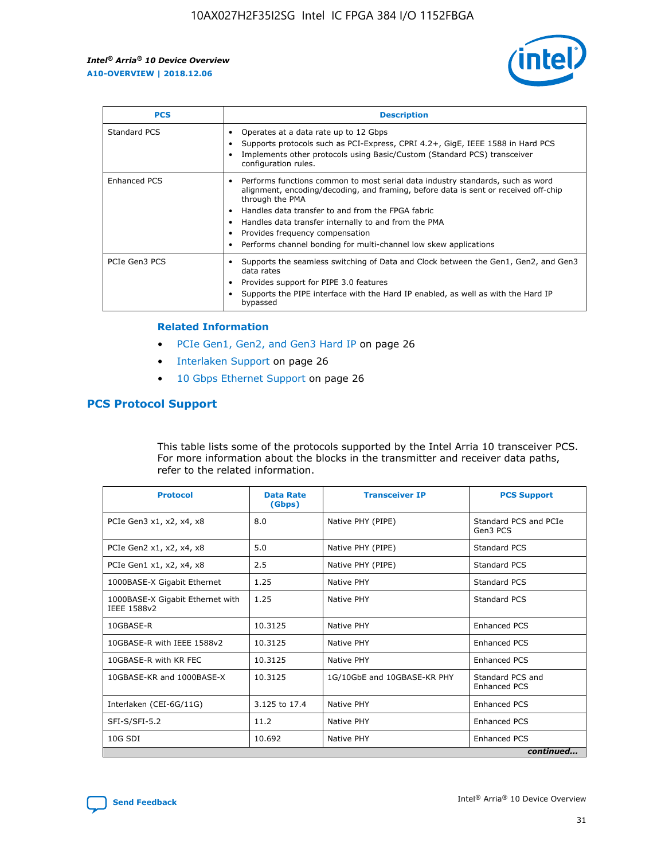

| <b>PCS</b>    | <b>Description</b>                                                                                                                                                                                                                                                                                                                                                                                                          |
|---------------|-----------------------------------------------------------------------------------------------------------------------------------------------------------------------------------------------------------------------------------------------------------------------------------------------------------------------------------------------------------------------------------------------------------------------------|
| Standard PCS  | Operates at a data rate up to 12 Gbps<br>Supports protocols such as PCI-Express, CPRI 4.2+, GigE, IEEE 1588 in Hard PCS<br>Implements other protocols using Basic/Custom (Standard PCS) transceiver<br>configuration rules.                                                                                                                                                                                                 |
| Enhanced PCS  | Performs functions common to most serial data industry standards, such as word<br>$\bullet$<br>alignment, encoding/decoding, and framing, before data is sent or received off-chip<br>through the PMA<br>• Handles data transfer to and from the FPGA fabric<br>Handles data transfer internally to and from the PMA<br>Provides frequency compensation<br>Performs channel bonding for multi-channel low skew applications |
| PCIe Gen3 PCS | Supports the seamless switching of Data and Clock between the Gen1, Gen2, and Gen3<br>data rates<br>Provides support for PIPE 3.0 features<br>Supports the PIPE interface with the Hard IP enabled, as well as with the Hard IP<br>bypassed                                                                                                                                                                                 |

#### **Related Information**

- PCIe Gen1, Gen2, and Gen3 Hard IP on page 26
- Interlaken Support on page 26
- 10 Gbps Ethernet Support on page 26

#### **PCS Protocol Support**

This table lists some of the protocols supported by the Intel Arria 10 transceiver PCS. For more information about the blocks in the transmitter and receiver data paths, refer to the related information.

| <b>Protocol</b>                                 | <b>Data Rate</b><br>(Gbps) | <b>Transceiver IP</b>       | <b>PCS Support</b>                      |
|-------------------------------------------------|----------------------------|-----------------------------|-----------------------------------------|
| PCIe Gen3 x1, x2, x4, x8                        | 8.0                        | Native PHY (PIPE)           | Standard PCS and PCIe<br>Gen3 PCS       |
| PCIe Gen2 x1, x2, x4, x8                        | 5.0                        | Native PHY (PIPE)           | <b>Standard PCS</b>                     |
| PCIe Gen1 x1, x2, x4, x8                        | 2.5                        | Native PHY (PIPE)           | Standard PCS                            |
| 1000BASE-X Gigabit Ethernet                     | 1.25                       | Native PHY                  | <b>Standard PCS</b>                     |
| 1000BASE-X Gigabit Ethernet with<br>IEEE 1588v2 | 1.25                       | Native PHY                  | Standard PCS                            |
| 10GBASE-R                                       | 10.3125                    | Native PHY                  | <b>Enhanced PCS</b>                     |
| 10GBASE-R with IEEE 1588v2                      | 10.3125                    | Native PHY                  | <b>Enhanced PCS</b>                     |
| 10GBASE-R with KR FEC                           | 10.3125                    | Native PHY                  | <b>Enhanced PCS</b>                     |
| 10GBASE-KR and 1000BASE-X                       | 10.3125                    | 1G/10GbE and 10GBASE-KR PHY | Standard PCS and<br><b>Enhanced PCS</b> |
| Interlaken (CEI-6G/11G)                         | 3.125 to 17.4              | Native PHY                  | <b>Enhanced PCS</b>                     |
| SFI-S/SFI-5.2                                   | 11.2                       | Native PHY                  | <b>Enhanced PCS</b>                     |
| $10G$ SDI                                       | 10.692                     | Native PHY                  | <b>Enhanced PCS</b>                     |
|                                                 |                            |                             | continued                               |

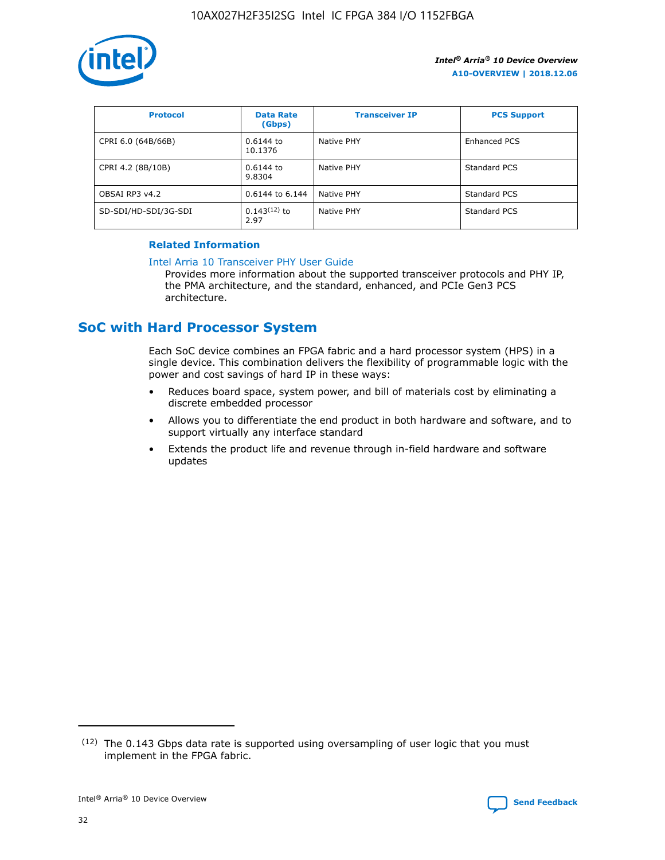

| <b>Protocol</b>      | <b>Data Rate</b><br>(Gbps) | <b>Transceiver IP</b> | <b>PCS Support</b> |
|----------------------|----------------------------|-----------------------|--------------------|
| CPRI 6.0 (64B/66B)   | 0.6144 to<br>10.1376       | Native PHY            | Enhanced PCS       |
| CPRI 4.2 (8B/10B)    | 0.6144 to<br>9.8304        | Native PHY            | Standard PCS       |
| OBSAI RP3 v4.2       | 0.6144 to 6.144            | Native PHY            | Standard PCS       |
| SD-SDI/HD-SDI/3G-SDI | $0.143(12)$ to<br>2.97     | Native PHY            | Standard PCS       |

#### **Related Information**

#### [Intel Arria 10 Transceiver PHY User Guide](https://www.intel.com/content/www/us/en/programmable/documentation/nik1398707230472.html#nik1398707091164)

Provides more information about the supported transceiver protocols and PHY IP, the PMA architecture, and the standard, enhanced, and PCIe Gen3 PCS architecture.

# **SoC with Hard Processor System**

Each SoC device combines an FPGA fabric and a hard processor system (HPS) in a single device. This combination delivers the flexibility of programmable logic with the power and cost savings of hard IP in these ways:

- Reduces board space, system power, and bill of materials cost by eliminating a discrete embedded processor
- Allows you to differentiate the end product in both hardware and software, and to support virtually any interface standard
- Extends the product life and revenue through in-field hardware and software updates

 $(12)$  The 0.143 Gbps data rate is supported using oversampling of user logic that you must implement in the FPGA fabric.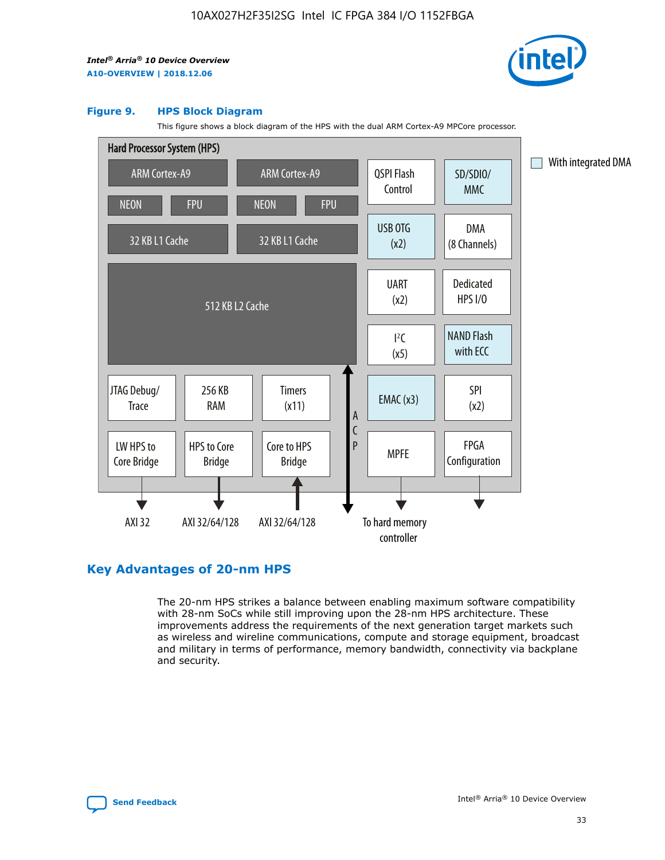

#### **Figure 9. HPS Block Diagram**

This figure shows a block diagram of the HPS with the dual ARM Cortex-A9 MPCore processor.



## **Key Advantages of 20-nm HPS**

The 20-nm HPS strikes a balance between enabling maximum software compatibility with 28-nm SoCs while still improving upon the 28-nm HPS architecture. These improvements address the requirements of the next generation target markets such as wireless and wireline communications, compute and storage equipment, broadcast and military in terms of performance, memory bandwidth, connectivity via backplane and security.

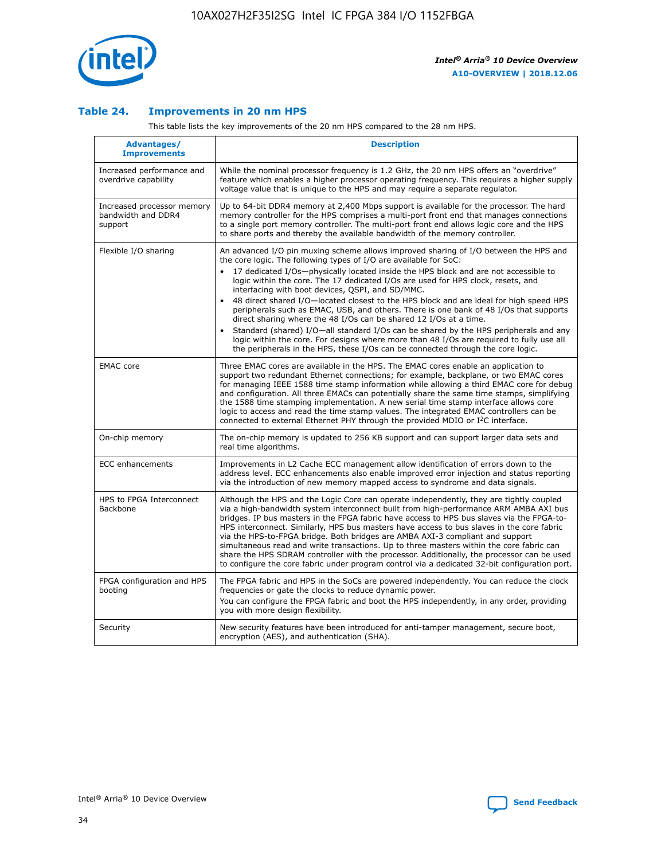

#### **Table 24. Improvements in 20 nm HPS**

This table lists the key improvements of the 20 nm HPS compared to the 28 nm HPS.

| Advantages/<br><b>Improvements</b>                          | <b>Description</b>                                                                                                                                                                                                                                                                                                                                                                                                                                                                                                                                                                                                                                                                                                                                                                                                                                                                                                                                |
|-------------------------------------------------------------|---------------------------------------------------------------------------------------------------------------------------------------------------------------------------------------------------------------------------------------------------------------------------------------------------------------------------------------------------------------------------------------------------------------------------------------------------------------------------------------------------------------------------------------------------------------------------------------------------------------------------------------------------------------------------------------------------------------------------------------------------------------------------------------------------------------------------------------------------------------------------------------------------------------------------------------------------|
| Increased performance and<br>overdrive capability           | While the nominal processor frequency is 1.2 GHz, the 20 nm HPS offers an "overdrive"<br>feature which enables a higher processor operating frequency. This requires a higher supply<br>voltage value that is unique to the HPS and may require a separate regulator.                                                                                                                                                                                                                                                                                                                                                                                                                                                                                                                                                                                                                                                                             |
| Increased processor memory<br>bandwidth and DDR4<br>support | Up to 64-bit DDR4 memory at 2,400 Mbps support is available for the processor. The hard<br>memory controller for the HPS comprises a multi-port front end that manages connections<br>to a single port memory controller. The multi-port front end allows logic core and the HPS<br>to share ports and thereby the available bandwidth of the memory controller.                                                                                                                                                                                                                                                                                                                                                                                                                                                                                                                                                                                  |
| Flexible I/O sharing                                        | An advanced I/O pin muxing scheme allows improved sharing of I/O between the HPS and<br>the core logic. The following types of I/O are available for SoC:<br>$\bullet$<br>17 dedicated I/Os-physically located inside the HPS block and are not accessible to<br>logic within the core. The 17 dedicated I/Os are used for HPS clock, resets, and<br>interfacing with boot devices, QSPI, and SD/MMC.<br>48 direct shared I/O-located closest to the HPS block and are ideal for high speed HPS<br>$\bullet$<br>peripherals such as EMAC, USB, and others. There is one bank of 48 I/Os that supports<br>direct sharing where the 48 I/Os can be shared 12 I/Os at a time.<br>Standard (shared) I/O-all standard I/Os can be shared by the HPS peripherals and any<br>logic within the core. For designs where more than 48 I/Os are required to fully use all<br>the peripherals in the HPS, these I/Os can be connected through the core logic. |
| <b>EMAC</b> core                                            | Three EMAC cores are available in the HPS. The EMAC cores enable an application to<br>support two redundant Ethernet connections; for example, backplane, or two EMAC cores<br>for managing IEEE 1588 time stamp information while allowing a third EMAC core for debug<br>and configuration. All three EMACs can potentially share the same time stamps, simplifying<br>the 1588 time stamping implementation. A new serial time stamp interface allows core<br>logic to access and read the time stamp values. The integrated EMAC controllers can be<br>connected to external Ethernet PHY through the provided MDIO or I <sup>2</sup> C interface.                                                                                                                                                                                                                                                                                            |
| On-chip memory                                              | The on-chip memory is updated to 256 KB support and can support larger data sets and<br>real time algorithms.                                                                                                                                                                                                                                                                                                                                                                                                                                                                                                                                                                                                                                                                                                                                                                                                                                     |
| <b>ECC</b> enhancements                                     | Improvements in L2 Cache ECC management allow identification of errors down to the<br>address level. ECC enhancements also enable improved error injection and status reporting<br>via the introduction of new memory mapped access to syndrome and data signals.                                                                                                                                                                                                                                                                                                                                                                                                                                                                                                                                                                                                                                                                                 |
| HPS to FPGA Interconnect<br>Backbone                        | Although the HPS and the Logic Core can operate independently, they are tightly coupled<br>via a high-bandwidth system interconnect built from high-performance ARM AMBA AXI bus<br>bridges. IP bus masters in the FPGA fabric have access to HPS bus slaves via the FPGA-to-<br>HPS interconnect. Similarly, HPS bus masters have access to bus slaves in the core fabric<br>via the HPS-to-FPGA bridge. Both bridges are AMBA AXI-3 compliant and support<br>simultaneous read and write transactions. Up to three masters within the core fabric can<br>share the HPS SDRAM controller with the processor. Additionally, the processor can be used<br>to configure the core fabric under program control via a dedicated 32-bit configuration port.                                                                                                                                                                                            |
| FPGA configuration and HPS<br>booting                       | The FPGA fabric and HPS in the SoCs are powered independently. You can reduce the clock<br>frequencies or gate the clocks to reduce dynamic power.<br>You can configure the FPGA fabric and boot the HPS independently, in any order, providing<br>you with more design flexibility.                                                                                                                                                                                                                                                                                                                                                                                                                                                                                                                                                                                                                                                              |
| Security                                                    | New security features have been introduced for anti-tamper management, secure boot,<br>encryption (AES), and authentication (SHA).                                                                                                                                                                                                                                                                                                                                                                                                                                                                                                                                                                                                                                                                                                                                                                                                                |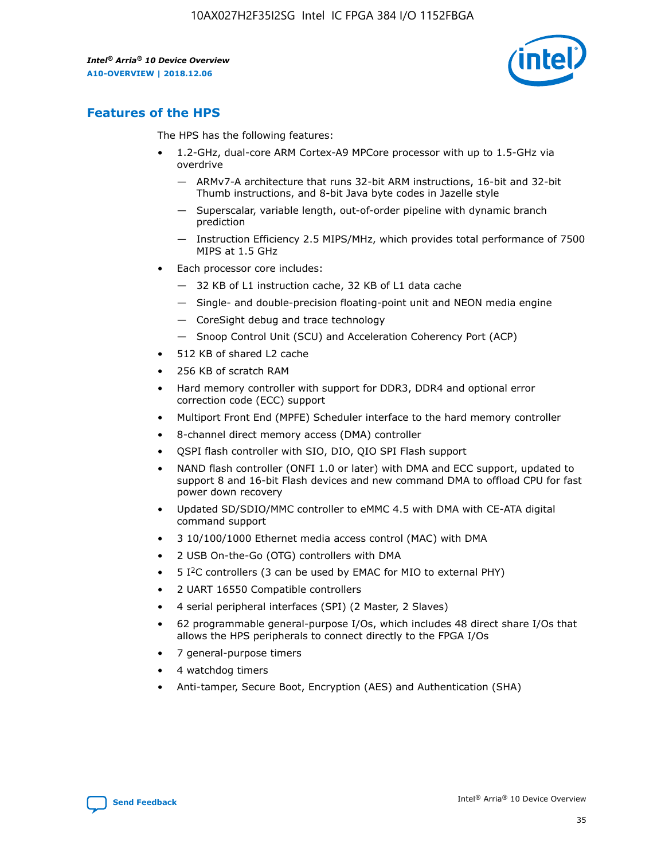

# **Features of the HPS**

The HPS has the following features:

- 1.2-GHz, dual-core ARM Cortex-A9 MPCore processor with up to 1.5-GHz via overdrive
	- ARMv7-A architecture that runs 32-bit ARM instructions, 16-bit and 32-bit Thumb instructions, and 8-bit Java byte codes in Jazelle style
	- Superscalar, variable length, out-of-order pipeline with dynamic branch prediction
	- Instruction Efficiency 2.5 MIPS/MHz, which provides total performance of 7500 MIPS at 1.5 GHz
- Each processor core includes:
	- 32 KB of L1 instruction cache, 32 KB of L1 data cache
	- Single- and double-precision floating-point unit and NEON media engine
	- CoreSight debug and trace technology
	- Snoop Control Unit (SCU) and Acceleration Coherency Port (ACP)
- 512 KB of shared L2 cache
- 256 KB of scratch RAM
- Hard memory controller with support for DDR3, DDR4 and optional error correction code (ECC) support
- Multiport Front End (MPFE) Scheduler interface to the hard memory controller
- 8-channel direct memory access (DMA) controller
- QSPI flash controller with SIO, DIO, QIO SPI Flash support
- NAND flash controller (ONFI 1.0 or later) with DMA and ECC support, updated to support 8 and 16-bit Flash devices and new command DMA to offload CPU for fast power down recovery
- Updated SD/SDIO/MMC controller to eMMC 4.5 with DMA with CE-ATA digital command support
- 3 10/100/1000 Ethernet media access control (MAC) with DMA
- 2 USB On-the-Go (OTG) controllers with DMA
- $\bullet$  5 I<sup>2</sup>C controllers (3 can be used by EMAC for MIO to external PHY)
- 2 UART 16550 Compatible controllers
- 4 serial peripheral interfaces (SPI) (2 Master, 2 Slaves)
- 62 programmable general-purpose I/Os, which includes 48 direct share I/Os that allows the HPS peripherals to connect directly to the FPGA I/Os
- 7 general-purpose timers
- 4 watchdog timers
- Anti-tamper, Secure Boot, Encryption (AES) and Authentication (SHA)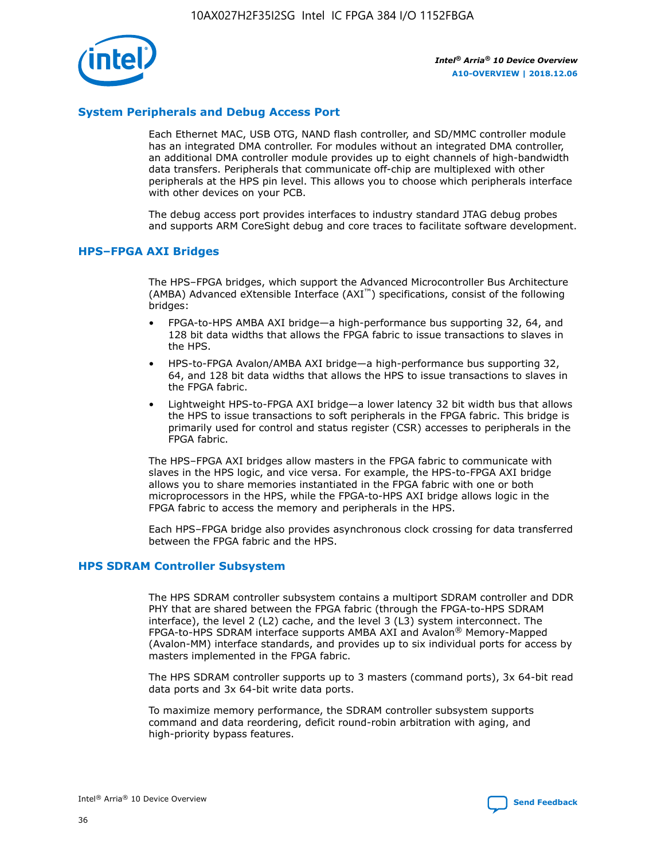

#### **System Peripherals and Debug Access Port**

Each Ethernet MAC, USB OTG, NAND flash controller, and SD/MMC controller module has an integrated DMA controller. For modules without an integrated DMA controller, an additional DMA controller module provides up to eight channels of high-bandwidth data transfers. Peripherals that communicate off-chip are multiplexed with other peripherals at the HPS pin level. This allows you to choose which peripherals interface with other devices on your PCB.

The debug access port provides interfaces to industry standard JTAG debug probes and supports ARM CoreSight debug and core traces to facilitate software development.

#### **HPS–FPGA AXI Bridges**

The HPS–FPGA bridges, which support the Advanced Microcontroller Bus Architecture (AMBA) Advanced eXtensible Interface (AXI™) specifications, consist of the following bridges:

- FPGA-to-HPS AMBA AXI bridge—a high-performance bus supporting 32, 64, and 128 bit data widths that allows the FPGA fabric to issue transactions to slaves in the HPS.
- HPS-to-FPGA Avalon/AMBA AXI bridge—a high-performance bus supporting 32, 64, and 128 bit data widths that allows the HPS to issue transactions to slaves in the FPGA fabric.
- Lightweight HPS-to-FPGA AXI bridge—a lower latency 32 bit width bus that allows the HPS to issue transactions to soft peripherals in the FPGA fabric. This bridge is primarily used for control and status register (CSR) accesses to peripherals in the FPGA fabric.

The HPS–FPGA AXI bridges allow masters in the FPGA fabric to communicate with slaves in the HPS logic, and vice versa. For example, the HPS-to-FPGA AXI bridge allows you to share memories instantiated in the FPGA fabric with one or both microprocessors in the HPS, while the FPGA-to-HPS AXI bridge allows logic in the FPGA fabric to access the memory and peripherals in the HPS.

Each HPS–FPGA bridge also provides asynchronous clock crossing for data transferred between the FPGA fabric and the HPS.

#### **HPS SDRAM Controller Subsystem**

The HPS SDRAM controller subsystem contains a multiport SDRAM controller and DDR PHY that are shared between the FPGA fabric (through the FPGA-to-HPS SDRAM interface), the level 2 (L2) cache, and the level 3 (L3) system interconnect. The FPGA-to-HPS SDRAM interface supports AMBA AXI and Avalon® Memory-Mapped (Avalon-MM) interface standards, and provides up to six individual ports for access by masters implemented in the FPGA fabric.

The HPS SDRAM controller supports up to 3 masters (command ports), 3x 64-bit read data ports and 3x 64-bit write data ports.

To maximize memory performance, the SDRAM controller subsystem supports command and data reordering, deficit round-robin arbitration with aging, and high-priority bypass features.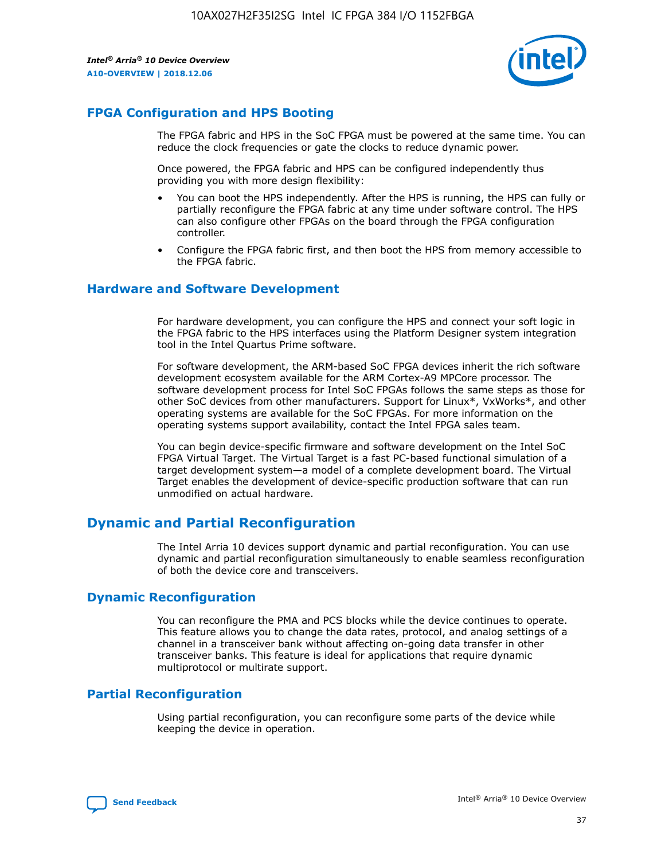

# **FPGA Configuration and HPS Booting**

The FPGA fabric and HPS in the SoC FPGA must be powered at the same time. You can reduce the clock frequencies or gate the clocks to reduce dynamic power.

Once powered, the FPGA fabric and HPS can be configured independently thus providing you with more design flexibility:

- You can boot the HPS independently. After the HPS is running, the HPS can fully or partially reconfigure the FPGA fabric at any time under software control. The HPS can also configure other FPGAs on the board through the FPGA configuration controller.
- Configure the FPGA fabric first, and then boot the HPS from memory accessible to the FPGA fabric.

#### **Hardware and Software Development**

For hardware development, you can configure the HPS and connect your soft logic in the FPGA fabric to the HPS interfaces using the Platform Designer system integration tool in the Intel Quartus Prime software.

For software development, the ARM-based SoC FPGA devices inherit the rich software development ecosystem available for the ARM Cortex-A9 MPCore processor. The software development process for Intel SoC FPGAs follows the same steps as those for other SoC devices from other manufacturers. Support for Linux\*, VxWorks\*, and other operating systems are available for the SoC FPGAs. For more information on the operating systems support availability, contact the Intel FPGA sales team.

You can begin device-specific firmware and software development on the Intel SoC FPGA Virtual Target. The Virtual Target is a fast PC-based functional simulation of a target development system—a model of a complete development board. The Virtual Target enables the development of device-specific production software that can run unmodified on actual hardware.

# **Dynamic and Partial Reconfiguration**

The Intel Arria 10 devices support dynamic and partial reconfiguration. You can use dynamic and partial reconfiguration simultaneously to enable seamless reconfiguration of both the device core and transceivers.

## **Dynamic Reconfiguration**

You can reconfigure the PMA and PCS blocks while the device continues to operate. This feature allows you to change the data rates, protocol, and analog settings of a channel in a transceiver bank without affecting on-going data transfer in other transceiver banks. This feature is ideal for applications that require dynamic multiprotocol or multirate support.

# **Partial Reconfiguration**

Using partial reconfiguration, you can reconfigure some parts of the device while keeping the device in operation.

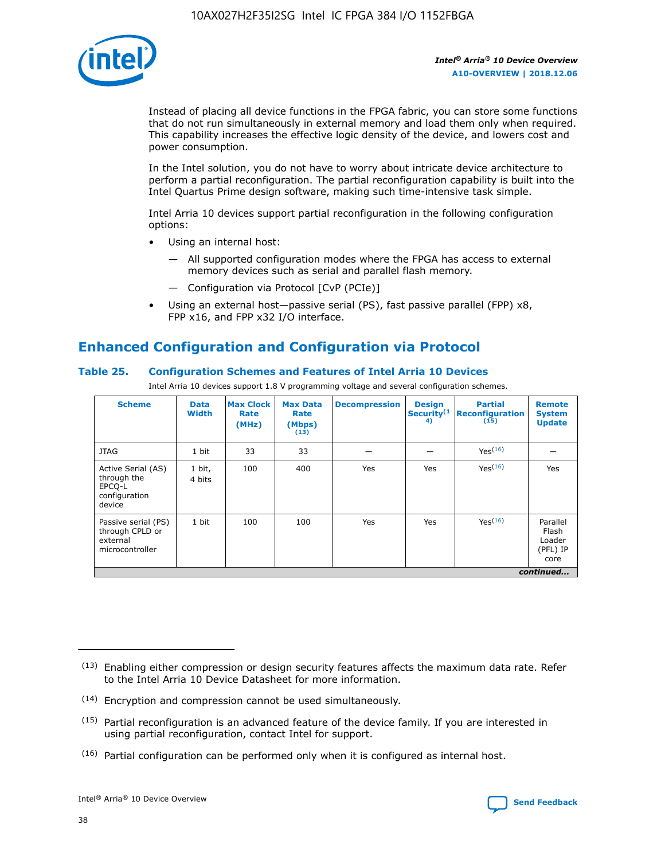

Instead of placing all device functions in the FPGA fabric, you can store some functions that do not run simultaneously in external memory and load them only when required. This capability increases the effective logic density of the device, and lowers cost and power consumption.

In the Intel solution, you do not have to worry about intricate device architecture to perform a partial reconfiguration. The partial reconfiguration capability is built into the Intel Quartus Prime design software, making such time-intensive task simple.

Intel Arria 10 devices support partial reconfiguration in the following configuration options:

- Using an internal host:
	- All supported configuration modes where the FPGA has access to external memory devices such as serial and parallel flash memory.
	- Configuration via Protocol [CvP (PCIe)]
- Using an external host—passive serial (PS), fast passive parallel (FPP) x8, FPP x16, and FPP x32 I/O interface.

# **Enhanced Configuration and Configuration via Protocol**

#### **Table 25. Configuration Schemes and Features of Intel Arria 10 Devices**

Intel Arria 10 devices support 1.8 V programming voltage and several configuration schemes.

| <b>Scheme</b>                                                          | <b>Data</b><br><b>Width</b> | <b>Max Clock</b><br>Rate<br>(MHz) | <b>Max Data</b><br>Rate<br>(Mbps)<br>(13) | <b>Decompression</b> | <b>Design</b><br>Security <sup>(1</sup><br>4) | <b>Partial</b><br>Reconfiguration<br>(15) | <b>Remote</b><br><b>System</b><br><b>Update</b> |
|------------------------------------------------------------------------|-----------------------------|-----------------------------------|-------------------------------------------|----------------------|-----------------------------------------------|-------------------------------------------|-------------------------------------------------|
| <b>JTAG</b>                                                            | 1 bit                       | 33                                | 33                                        |                      |                                               | Yes(16)                                   |                                                 |
| Active Serial (AS)<br>through the<br>EPCO-L<br>configuration<br>device | 1 bit,<br>4 bits            | 100                               | 400                                       | Yes                  | Yes                                           | Yes(16)                                   | Yes                                             |
| Passive serial (PS)<br>through CPLD or<br>external<br>microcontroller  | 1 bit                       | 100                               | 100                                       | Yes                  | Yes                                           | Yes <sup>(16)</sup>                       | Parallel<br>Flash<br>Loader<br>(PFL) IP<br>core |
|                                                                        |                             |                                   |                                           |                      |                                               |                                           | continued                                       |

<sup>(13)</sup> Enabling either compression or design security features affects the maximum data rate. Refer to the Intel Arria 10 Device Datasheet for more information.

<sup>(14)</sup> Encryption and compression cannot be used simultaneously.

 $(15)$  Partial reconfiguration is an advanced feature of the device family. If you are interested in using partial reconfiguration, contact Intel for support.

 $(16)$  Partial configuration can be performed only when it is configured as internal host.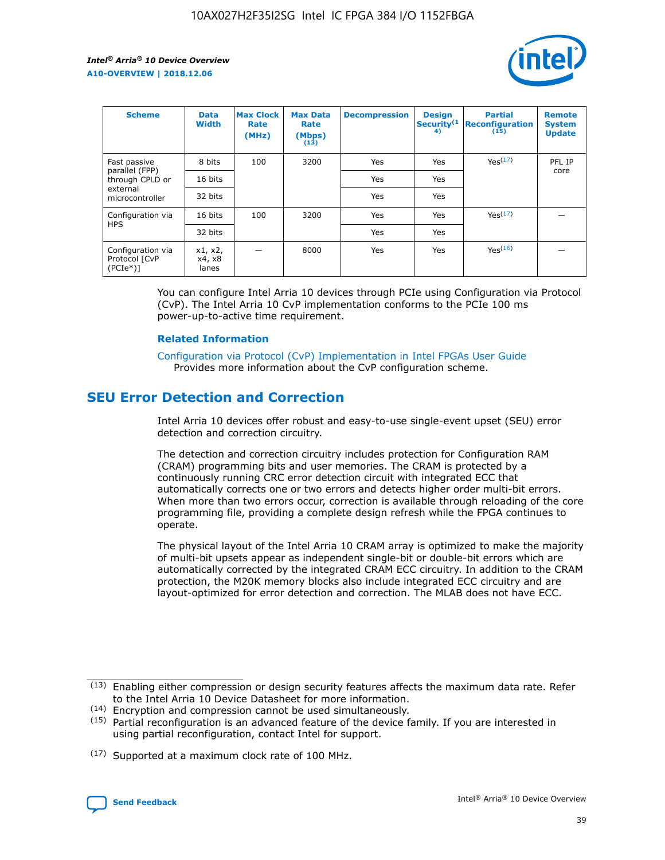

| <b>Scheme</b>                                   | <b>Data</b><br><b>Width</b> | <b>Max Clock</b><br>Rate<br>(MHz) | <b>Max Data</b><br>Rate<br>(Mbps)<br>(13) | <b>Decompression</b> | <b>Design</b><br>Security <sup>(1</sup><br>4) | <b>Partial</b><br><b>Reconfiguration</b><br>(15) | <b>Remote</b><br><b>System</b><br><b>Update</b> |
|-------------------------------------------------|-----------------------------|-----------------------------------|-------------------------------------------|----------------------|-----------------------------------------------|--------------------------------------------------|-------------------------------------------------|
| Fast passive                                    | 8 bits                      | 100                               | 3200                                      | Yes                  | Yes                                           | Yes(17)                                          | PFL IP                                          |
| parallel (FPP)<br>through CPLD or               | 16 bits                     |                                   |                                           | Yes                  | Yes                                           |                                                  | core                                            |
| external<br>microcontroller                     | 32 bits                     |                                   |                                           | Yes                  | Yes                                           |                                                  |                                                 |
| Configuration via                               | 16 bits                     | 100                               | 3200                                      | Yes                  | Yes                                           | Yes <sup>(17)</sup>                              |                                                 |
| <b>HPS</b>                                      | 32 bits                     |                                   |                                           | Yes                  | Yes                                           |                                                  |                                                 |
| Configuration via<br>Protocol [CvP<br>$(PCIe*)$ | x1, x2,<br>x4, x8<br>lanes  |                                   | 8000                                      | Yes                  | Yes                                           | Yes <sup>(16)</sup>                              |                                                 |

You can configure Intel Arria 10 devices through PCIe using Configuration via Protocol (CvP). The Intel Arria 10 CvP implementation conforms to the PCIe 100 ms power-up-to-active time requirement.

#### **Related Information**

[Configuration via Protocol \(CvP\) Implementation in Intel FPGAs User Guide](https://www.intel.com/content/www/us/en/programmable/documentation/dsu1441819344145.html#dsu1442269728522) Provides more information about the CvP configuration scheme.

# **SEU Error Detection and Correction**

Intel Arria 10 devices offer robust and easy-to-use single-event upset (SEU) error detection and correction circuitry.

The detection and correction circuitry includes protection for Configuration RAM (CRAM) programming bits and user memories. The CRAM is protected by a continuously running CRC error detection circuit with integrated ECC that automatically corrects one or two errors and detects higher order multi-bit errors. When more than two errors occur, correction is available through reloading of the core programming file, providing a complete design refresh while the FPGA continues to operate.

The physical layout of the Intel Arria 10 CRAM array is optimized to make the majority of multi-bit upsets appear as independent single-bit or double-bit errors which are automatically corrected by the integrated CRAM ECC circuitry. In addition to the CRAM protection, the M20K memory blocks also include integrated ECC circuitry and are layout-optimized for error detection and correction. The MLAB does not have ECC.

(14) Encryption and compression cannot be used simultaneously.

<sup>(17)</sup> Supported at a maximum clock rate of 100 MHz.



 $(13)$  Enabling either compression or design security features affects the maximum data rate. Refer to the Intel Arria 10 Device Datasheet for more information.

 $(15)$  Partial reconfiguration is an advanced feature of the device family. If you are interested in using partial reconfiguration, contact Intel for support.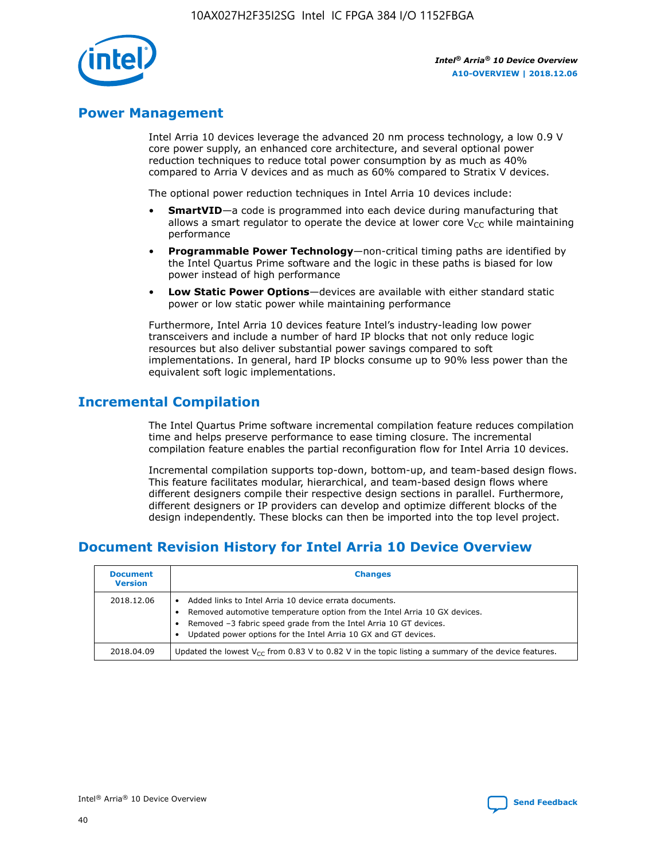

# **Power Management**

Intel Arria 10 devices leverage the advanced 20 nm process technology, a low 0.9 V core power supply, an enhanced core architecture, and several optional power reduction techniques to reduce total power consumption by as much as 40% compared to Arria V devices and as much as 60% compared to Stratix V devices.

The optional power reduction techniques in Intel Arria 10 devices include:

- **SmartVID**—a code is programmed into each device during manufacturing that allows a smart regulator to operate the device at lower core  $V_{CC}$  while maintaining performance
- **Programmable Power Technology**—non-critical timing paths are identified by the Intel Quartus Prime software and the logic in these paths is biased for low power instead of high performance
- **Low Static Power Options**—devices are available with either standard static power or low static power while maintaining performance

Furthermore, Intel Arria 10 devices feature Intel's industry-leading low power transceivers and include a number of hard IP blocks that not only reduce logic resources but also deliver substantial power savings compared to soft implementations. In general, hard IP blocks consume up to 90% less power than the equivalent soft logic implementations.

# **Incremental Compilation**

The Intel Quartus Prime software incremental compilation feature reduces compilation time and helps preserve performance to ease timing closure. The incremental compilation feature enables the partial reconfiguration flow for Intel Arria 10 devices.

Incremental compilation supports top-down, bottom-up, and team-based design flows. This feature facilitates modular, hierarchical, and team-based design flows where different designers compile their respective design sections in parallel. Furthermore, different designers or IP providers can develop and optimize different blocks of the design independently. These blocks can then be imported into the top level project.

# **Document Revision History for Intel Arria 10 Device Overview**

| <b>Document</b><br><b>Version</b> | <b>Changes</b>                                                                                                                                                                                                                                                              |
|-----------------------------------|-----------------------------------------------------------------------------------------------------------------------------------------------------------------------------------------------------------------------------------------------------------------------------|
| 2018.12.06                        | Added links to Intel Arria 10 device errata documents.<br>Removed automotive temperature option from the Intel Arria 10 GX devices.<br>Removed -3 fabric speed grade from the Intel Arria 10 GT devices.<br>Updated power options for the Intel Arria 10 GX and GT devices. |
| 2018.04.09                        | Updated the lowest $V_{CC}$ from 0.83 V to 0.82 V in the topic listing a summary of the device features.                                                                                                                                                                    |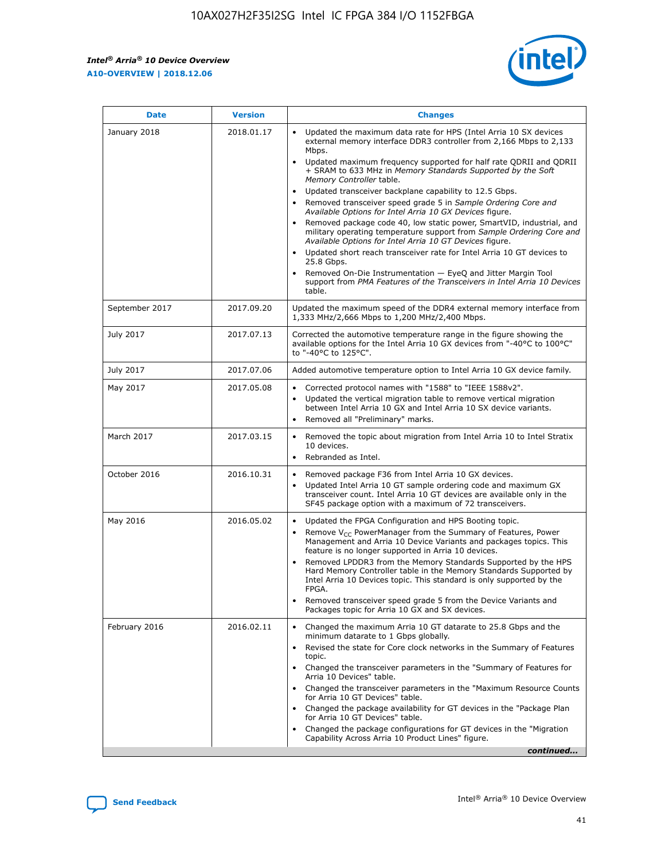*Intel® Arria® 10 Device Overview* **A10-OVERVIEW | 2018.12.06**



| <b>Date</b>    | <b>Version</b> | <b>Changes</b>                                                                                                                                                                                                                                                                                                                                                                                                                                                                                                                                                                                                                                                                                                                                                                                                                                                                                                                                                            |
|----------------|----------------|---------------------------------------------------------------------------------------------------------------------------------------------------------------------------------------------------------------------------------------------------------------------------------------------------------------------------------------------------------------------------------------------------------------------------------------------------------------------------------------------------------------------------------------------------------------------------------------------------------------------------------------------------------------------------------------------------------------------------------------------------------------------------------------------------------------------------------------------------------------------------------------------------------------------------------------------------------------------------|
| January 2018   | 2018.01.17     | Updated the maximum data rate for HPS (Intel Arria 10 SX devices<br>external memory interface DDR3 controller from 2,166 Mbps to 2,133<br>Mbps.<br>Updated maximum frequency supported for half rate QDRII and QDRII<br>+ SRAM to 633 MHz in Memory Standards Supported by the Soft<br>Memory Controller table.<br>Updated transceiver backplane capability to 12.5 Gbps.<br>$\bullet$<br>Removed transceiver speed grade 5 in Sample Ordering Core and<br>Available Options for Intel Arria 10 GX Devices figure.<br>Removed package code 40, low static power, SmartVID, industrial, and<br>military operating temperature support from Sample Ordering Core and<br>Available Options for Intel Arria 10 GT Devices figure.<br>Updated short reach transceiver rate for Intel Arria 10 GT devices to<br>25.8 Gbps.<br>Removed On-Die Instrumentation - EyeQ and Jitter Margin Tool<br>support from PMA Features of the Transceivers in Intel Arria 10 Devices<br>table. |
| September 2017 | 2017.09.20     | Updated the maximum speed of the DDR4 external memory interface from<br>1,333 MHz/2,666 Mbps to 1,200 MHz/2,400 Mbps.                                                                                                                                                                                                                                                                                                                                                                                                                                                                                                                                                                                                                                                                                                                                                                                                                                                     |
| July 2017      | 2017.07.13     | Corrected the automotive temperature range in the figure showing the<br>available options for the Intel Arria 10 GX devices from "-40°C to 100°C"<br>to "-40°C to 125°C".                                                                                                                                                                                                                                                                                                                                                                                                                                                                                                                                                                                                                                                                                                                                                                                                 |
| July 2017      | 2017.07.06     | Added automotive temperature option to Intel Arria 10 GX device family.                                                                                                                                                                                                                                                                                                                                                                                                                                                                                                                                                                                                                                                                                                                                                                                                                                                                                                   |
| May 2017       | 2017.05.08     | Corrected protocol names with "1588" to "IEEE 1588v2".<br>$\bullet$<br>Updated the vertical migration table to remove vertical migration<br>$\bullet$<br>between Intel Arria 10 GX and Intel Arria 10 SX device variants.<br>Removed all "Preliminary" marks.<br>$\bullet$                                                                                                                                                                                                                                                                                                                                                                                                                                                                                                                                                                                                                                                                                                |
| March 2017     | 2017.03.15     | Removed the topic about migration from Intel Arria 10 to Intel Stratix<br>10 devices.<br>Rebranded as Intel.<br>$\bullet$                                                                                                                                                                                                                                                                                                                                                                                                                                                                                                                                                                                                                                                                                                                                                                                                                                                 |
| October 2016   | 2016.10.31     | Removed package F36 from Intel Arria 10 GX devices.<br>Updated Intel Arria 10 GT sample ordering code and maximum GX<br>$\bullet$<br>transceiver count. Intel Arria 10 GT devices are available only in the<br>SF45 package option with a maximum of 72 transceivers.                                                                                                                                                                                                                                                                                                                                                                                                                                                                                                                                                                                                                                                                                                     |
| May 2016       | 2016.05.02     | Updated the FPGA Configuration and HPS Booting topic.<br>$\bullet$<br>Remove V <sub>CC</sub> PowerManager from the Summary of Features, Power<br>Management and Arria 10 Device Variants and packages topics. This<br>feature is no longer supported in Arria 10 devices.<br>Removed LPDDR3 from the Memory Standards Supported by the HPS<br>Hard Memory Controller table in the Memory Standards Supported by<br>Intel Arria 10 Devices topic. This standard is only supported by the<br>FPGA.<br>Removed transceiver speed grade 5 from the Device Variants and<br>Packages topic for Arria 10 GX and SX devices.                                                                                                                                                                                                                                                                                                                                                      |
| February 2016  | 2016.02.11     | Changed the maximum Arria 10 GT datarate to 25.8 Gbps and the<br>minimum datarate to 1 Gbps globally.<br>Revised the state for Core clock networks in the Summary of Features<br>$\bullet$<br>topic.<br>Changed the transceiver parameters in the "Summary of Features for<br>$\bullet$<br>Arria 10 Devices" table.<br>• Changed the transceiver parameters in the "Maximum Resource Counts<br>for Arria 10 GT Devices" table.<br>Changed the package availability for GT devices in the "Package Plan<br>for Arria 10 GT Devices" table.<br>Changed the package configurations for GT devices in the "Migration"<br>Capability Across Arria 10 Product Lines" figure.<br>continued                                                                                                                                                                                                                                                                                       |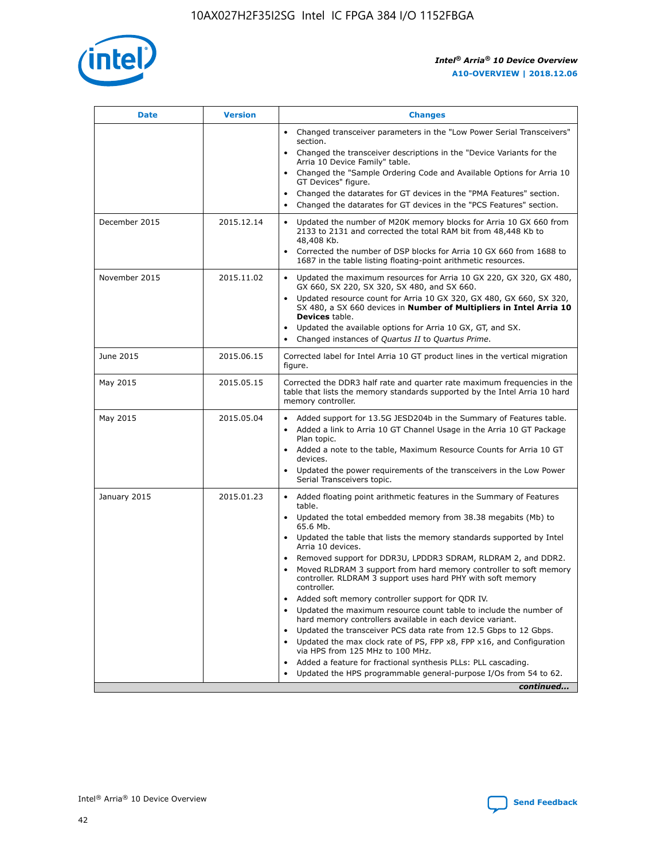

| <b>Date</b>   | <b>Version</b> | <b>Changes</b>                                                                                                                                                                   |
|---------------|----------------|----------------------------------------------------------------------------------------------------------------------------------------------------------------------------------|
|               |                | • Changed transceiver parameters in the "Low Power Serial Transceivers"<br>section.                                                                                              |
|               |                | • Changed the transceiver descriptions in the "Device Variants for the<br>Arria 10 Device Family" table.                                                                         |
|               |                | Changed the "Sample Ordering Code and Available Options for Arria 10<br>GT Devices" figure.                                                                                      |
|               |                | Changed the datarates for GT devices in the "PMA Features" section.                                                                                                              |
|               |                | Changed the datarates for GT devices in the "PCS Features" section.<br>$\bullet$                                                                                                 |
| December 2015 | 2015.12.14     | Updated the number of M20K memory blocks for Arria 10 GX 660 from<br>$\bullet$<br>2133 to 2131 and corrected the total RAM bit from 48,448 Kb to<br>48,408 Kb.                   |
|               |                | Corrected the number of DSP blocks for Arria 10 GX 660 from 1688 to<br>$\bullet$<br>1687 in the table listing floating-point arithmetic resources.                               |
| November 2015 | 2015.11.02     | Updated the maximum resources for Arria 10 GX 220, GX 320, GX 480,<br>$\bullet$<br>GX 660, SX 220, SX 320, SX 480, and SX 660.                                                   |
|               |                | Updated resource count for Arria 10 GX 320, GX 480, GX 660, SX 320,<br>$\bullet$<br>SX 480, a SX 660 devices in Number of Multipliers in Intel Arria 10<br><b>Devices</b> table. |
|               |                | Updated the available options for Arria 10 GX, GT, and SX.<br>$\bullet$                                                                                                          |
|               |                | Changed instances of Quartus II to Quartus Prime.<br>$\bullet$                                                                                                                   |
| June 2015     | 2015.06.15     | Corrected label for Intel Arria 10 GT product lines in the vertical migration<br>figure.                                                                                         |
| May 2015      | 2015.05.15     | Corrected the DDR3 half rate and quarter rate maximum frequencies in the<br>table that lists the memory standards supported by the Intel Arria 10 hard<br>memory controller.     |
| May 2015      | 2015.05.04     | • Added support for 13.5G JESD204b in the Summary of Features table.<br>• Added a link to Arria 10 GT Channel Usage in the Arria 10 GT Package<br>Plan topic.                    |
|               |                | • Added a note to the table, Maximum Resource Counts for Arria 10 GT<br>devices.                                                                                                 |
|               |                | Updated the power requirements of the transceivers in the Low Power<br>Serial Transceivers topic.                                                                                |
| January 2015  | 2015.01.23     | • Added floating point arithmetic features in the Summary of Features<br>table.                                                                                                  |
|               |                | • Updated the total embedded memory from 38.38 megabits (Mb) to<br>65.6 Mb.                                                                                                      |
|               |                | • Updated the table that lists the memory standards supported by Intel<br>Arria 10 devices.                                                                                      |
|               |                | Removed support for DDR3U, LPDDR3 SDRAM, RLDRAM 2, and DDR2.                                                                                                                     |
|               |                | Moved RLDRAM 3 support from hard memory controller to soft memory<br>controller. RLDRAM 3 support uses hard PHY with soft memory<br>controller.                                  |
|               |                | Added soft memory controller support for QDR IV.                                                                                                                                 |
|               |                | Updated the maximum resource count table to include the number of<br>hard memory controllers available in each device variant.                                                   |
|               |                | Updated the transceiver PCS data rate from 12.5 Gbps to 12 Gbps.<br>$\bullet$                                                                                                    |
|               |                | Updated the max clock rate of PS, FPP x8, FPP x16, and Configuration<br>via HPS from 125 MHz to 100 MHz.                                                                         |
|               |                | Added a feature for fractional synthesis PLLs: PLL cascading.                                                                                                                    |
|               |                | Updated the HPS programmable general-purpose I/Os from 54 to 62.                                                                                                                 |
|               |                | continued                                                                                                                                                                        |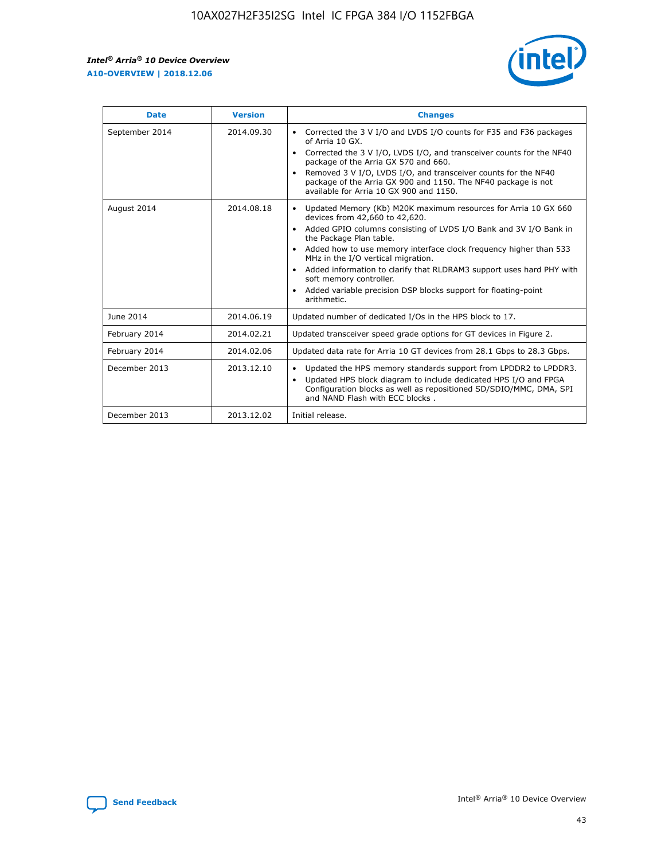r



| <b>Date</b>    | <b>Version</b> | <b>Changes</b>                                                                                                                                                                                                                                                                                                                                                                                                                                                                                                                         |
|----------------|----------------|----------------------------------------------------------------------------------------------------------------------------------------------------------------------------------------------------------------------------------------------------------------------------------------------------------------------------------------------------------------------------------------------------------------------------------------------------------------------------------------------------------------------------------------|
| September 2014 | 2014.09.30     | Corrected the 3 V I/O and LVDS I/O counts for F35 and F36 packages<br>of Arria 10 GX.<br>Corrected the 3 V I/O, LVDS I/O, and transceiver counts for the NF40<br>$\bullet$<br>package of the Arria GX 570 and 660.<br>Removed 3 V I/O, LVDS I/O, and transceiver counts for the NF40<br>package of the Arria GX 900 and 1150. The NF40 package is not<br>available for Arria 10 GX 900 and 1150.                                                                                                                                       |
| August 2014    | 2014.08.18     | Updated Memory (Kb) M20K maximum resources for Arria 10 GX 660<br>devices from 42,660 to 42,620.<br>Added GPIO columns consisting of LVDS I/O Bank and 3V I/O Bank in<br>$\bullet$<br>the Package Plan table.<br>Added how to use memory interface clock frequency higher than 533<br>$\bullet$<br>MHz in the I/O vertical migration.<br>Added information to clarify that RLDRAM3 support uses hard PHY with<br>$\bullet$<br>soft memory controller.<br>Added variable precision DSP blocks support for floating-point<br>arithmetic. |
| June 2014      | 2014.06.19     | Updated number of dedicated I/Os in the HPS block to 17.                                                                                                                                                                                                                                                                                                                                                                                                                                                                               |
| February 2014  | 2014.02.21     | Updated transceiver speed grade options for GT devices in Figure 2.                                                                                                                                                                                                                                                                                                                                                                                                                                                                    |
| February 2014  | 2014.02.06     | Updated data rate for Arria 10 GT devices from 28.1 Gbps to 28.3 Gbps.                                                                                                                                                                                                                                                                                                                                                                                                                                                                 |
| December 2013  | 2013.12.10     | Updated the HPS memory standards support from LPDDR2 to LPDDR3.<br>Updated HPS block diagram to include dedicated HPS I/O and FPGA<br>$\bullet$<br>Configuration blocks as well as repositioned SD/SDIO/MMC, DMA, SPI<br>and NAND Flash with ECC blocks.                                                                                                                                                                                                                                                                               |
| December 2013  | 2013.12.02     | Initial release.                                                                                                                                                                                                                                                                                                                                                                                                                                                                                                                       |